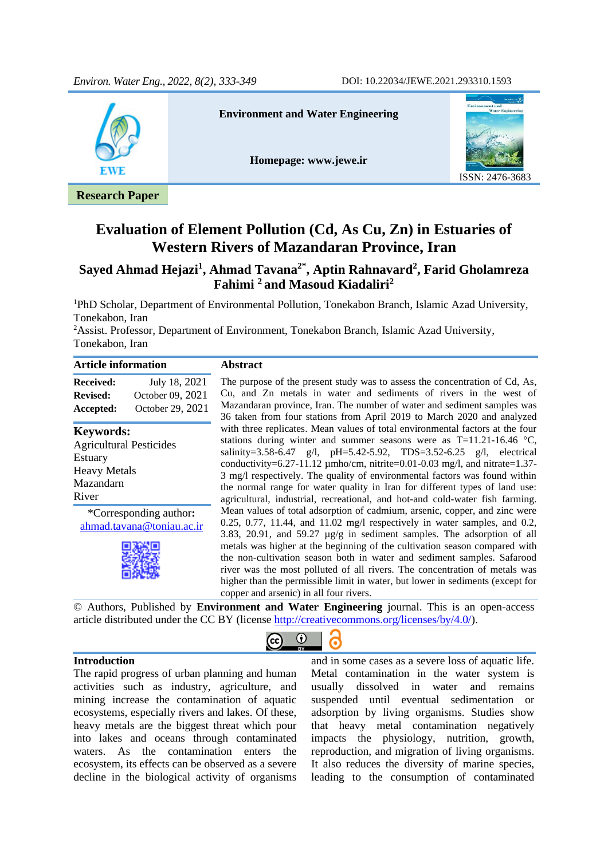

# **Evaluation of Element Pollution (Cd, As Cu, Zn) in Estuaries of Western Rivers of Mazandaran Province, Iran**

### **Sayed Ahmad Hejazi<sup>1</sup> , Ahmad Tavana2\* , Aptin Rahnavard<sup>2</sup> , Farid Gholamreza Fahimi <sup>2</sup> and Masoud Kiadaliri<sup>2</sup>**

<sup>1</sup>PhD Scholar, Department of Environmental Pollution, Tonekabon Branch, Islamic Azad University, Tonekabon, Iran

<sup>2</sup>Assist. Professor, Department of Environment, Tonekabon Branch, Islamic Azad University, Tonekabon, Iran

| <b>Article information</b>                                                                                        |                                                       | <b>Abstract</b>                                                                                                                                                                                                                                                                                                                                                                                                                                                                                                                                                                                                |
|-------------------------------------------------------------------------------------------------------------------|-------------------------------------------------------|----------------------------------------------------------------------------------------------------------------------------------------------------------------------------------------------------------------------------------------------------------------------------------------------------------------------------------------------------------------------------------------------------------------------------------------------------------------------------------------------------------------------------------------------------------------------------------------------------------------|
| <b>Received:</b><br><b>Revised:</b><br>Accepted:                                                                  | July 18, 2021<br>October 09, 2021<br>October 29, 2021 | The purpose of the present study was to assess the concentration of Cd, As,<br>Cu, and Zn metals in water and sediments of rivers in the west of<br>Mazandaran province, Iran. The number of water and sediment samples was<br>36 taken from four stations from April 2019 to March 2020 and analyzed                                                                                                                                                                                                                                                                                                          |
| <b>Keywords:</b><br><b>Agricultural Pesticides</b><br><b>Estuary</b><br><b>Heavy Metals</b><br>Mazandarn<br>River |                                                       | with three replicates. Mean values of total environmental factors at the four<br>stations during winter and summer seasons were as $T=11.21-16.46$ °C,<br>salinity=3.58-6.47 g/l, pH=5.42-5.92, TDS=3.52-6.25 g/l, electrical<br>conductivity=6.27-11.12 $\mu$ mho/cm, nitrite=0.01-0.03 mg/l, and nitrate=1.37-<br>3 mg/l respectively. The quality of environmental factors was found within<br>the normal range for water quality in Iran for different types of land use:<br>agricultural, industrial, recreational, and hot-and cold-water fish farming.                                                  |
|                                                                                                                   | *Corresponding author:<br>ahmad.tavana@toniau.ac.ir   | Mean values of total adsorption of cadmium, arsenic, copper, and zinc were<br>$0.25, 0.77, 11.44,$ and $11.02$ mg/l respectively in water samples, and 0.2,<br>3.83, 20.91, and 59.27 $\mu$ g/g in sediment samples. The adsorption of all<br>metals was higher at the beginning of the cultivation season compared with<br>the non-cultivation season both in water and sediment samples. Safarood<br>river was the most polluted of all rivers. The concentration of metals was<br>higher than the permissible limit in water, but lower in sediments (except for<br>copper and arsenic) in all four rivers. |
|                                                                                                                   |                                                       | © Authors, Published by Environment and Water Engineering journal. This is an open-access                                                                                                                                                                                                                                                                                                                                                                                                                                                                                                                      |

article distributed under the CC BY (license [http://creativecommons.org/licenses/by/4.0/\)](http://creativecommons.org/licenses/by/4.0/).



### **Introduction**

The rapid progress of urban planning and human activities such as industry, agriculture, and mining increase the contamination of aquatic ecosystems, especially rivers and lakes. Of these, heavy metals are the biggest threat which pour into lakes and oceans through contaminated waters. As the contamination enters the ecosystem, its effects can be observed as a severe decline in the biological activity of organisms

and in some cases as a severe loss of aquatic life. Metal contamination in the water system is usually dissolved in water and remains suspended until eventual sedimentation or adsorption by living organisms. Studies show that heavy metal contamination negatively impacts the physiology, nutrition, growth, reproduction, and migration of living organisms. It also reduces the diversity of marine species, leading to the consumption of contaminated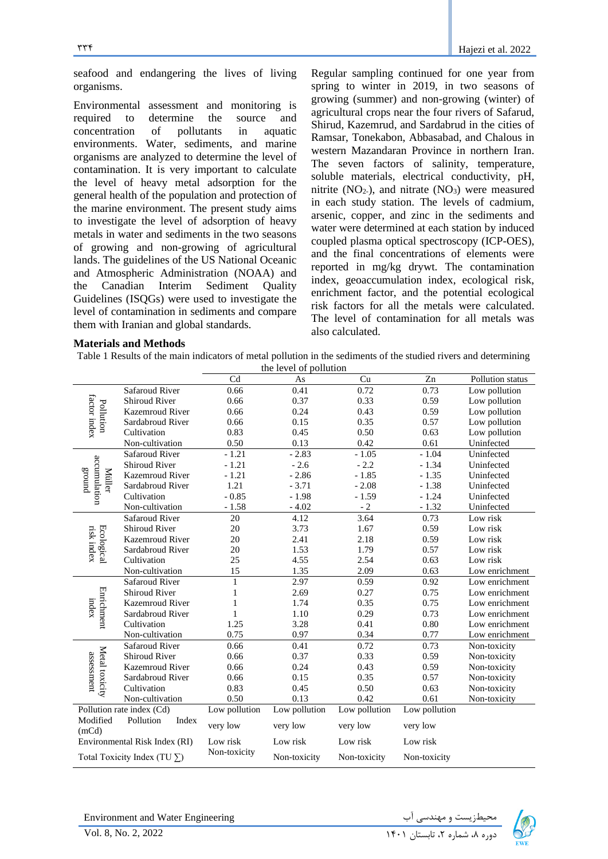seafood and endangering the lives of living organisms.

Environmental assessment and monitoring is required to determine the source and concentration of pollutants in aquatic environments. Water, sediments, and marine organisms are analyzed to determine the level of contamination. It is very important to calculate the level of heavy metal adsorption for the general health of the population and protection of the marine environment. The present study aims to investigate the level of adsorption of heavy metals in water and sediments in the two seasons of growing and non-growing of agricultural lands. The guidelines of the US National Oceanic and Atmospheric Administration (NOAA) and the Canadian Interim Sediment Quality Guidelines (ISQGs) were used to investigate the level of contamination in sediments and compare them with Iranian and global standards.

Regular sampling continued for one year from spring to winter in 2019, in two seasons of growing (summer) and non-growing (winter) of agricultural crops near the four rivers of Safarud, Shirud, Kazemrud, and Sardabrud in the cities of Ramsar, Tonekabon, Abbasabad, and Chalous in western Mazandaran Province in northern Iran. The seven factors of salinity, temperature, soluble materials, electrical conductivity, pH, nitrite  $(NO<sub>2</sub>),$  and nitrate  $(NO<sub>3</sub>)$  were measured in each study station. The levels of cadmium, arsenic, copper, and zinc in the sediments and water were determined at each station by induced coupled plasma optical spectroscopy (ICP-OES), and the final concentrations of elements were reported in mg/kg drywt. The contamination index, geoaccumulation index, ecological risk, enrichment factor, and the potential ecological risk factors for all the metals were calculated. The level of contamination for all metals was also calculated.

#### **Materials and Methods**

Table 1 Results of the main indicators of metal pollution in the sediments of the studied rivers and determining the level of pollution

|                                     |                               |               | the level of potition |               |               |                  |
|-------------------------------------|-------------------------------|---------------|-----------------------|---------------|---------------|------------------|
|                                     |                               | Cd            | As                    | Cu            | Zn            | Pollution status |
|                                     | <b>Safaroud River</b>         | 0.66          | 0.41                  | 0.72          | 0.73          | Low pollution    |
| factor index                        | <b>Shiroud River</b>          | 0.66          | 0.37                  | 0.33          | 0.59          | Low pollution    |
| Pollution                           | <b>Kazemroud River</b>        | 0.66          | 0.24                  | 0.43          | 0.59          | Low pollution    |
|                                     | Sardabroud River              | 0.66          | 0.15                  | 0.35          | 0.57          | Low pollution    |
|                                     | Cultivation                   | 0.83          | 0.45                  | 0.50          | 0.63          | Low pollution    |
|                                     | Non-cultivation               | 0.50          | 0.13                  | 0.42          | 0.61          | Uninfected       |
|                                     | <b>Safaroud River</b>         | $-1.21$       | $-2.83$               | $-1.05$       | $-1.04$       | Uninfected       |
| accumulation                        | Shiroud River                 | $-1.21$       | $-2.6$                | $-2.2$        | $-1.34$       | Uninfected       |
| punois<br>Müller                    | <b>Kazemroud River</b>        | $-1.21$       | $-2.86$               | $-1.85$       | $-1.35$       | Uninfected       |
|                                     | Sardabroud River              | 1.21          | $-3.71$               | $-2.08$       | $-1.38$       | Uninfected       |
|                                     | Cultivation                   | $-0.85$       | $-1.98$               | $-1.59$       | $-1.24$       | Uninfected       |
|                                     | Non-cultivation               | $-1.58$       | $-4.02$               | $-2$          | $-1.32$       | Uninfected       |
|                                     | <b>Safaroud River</b>         | 20            | 4.12                  | 3.64          | 0.73          | Low risk         |
|                                     | <b>Shiroud River</b>          | 20            | 3.73                  | 1.67          | 0.59          | Low risk         |
| Ecological<br>risk index            | <b>Kazemroud River</b>        | 20            | 2.41                  | 2.18          | 0.59          | Low risk         |
|                                     | Sardabroud River              | 20            | 1.53                  | 1.79          | 0.57          | Low risk         |
|                                     | Cultivation                   | 25            | 4.55                  | 2.54          | 0.63          | Low risk         |
|                                     | Non-cultivation               | 15            | 1.35                  | 2.09          | 0.63          | Low enrichment   |
|                                     | <b>Safaroud River</b>         | $\,1$         | 2.97                  | 0.59          | 0.92          | Low enrichment   |
|                                     | <b>Shiroud River</b>          | 1             | 2.69                  | 0.27          | 0.75          | Low enrichment   |
| Enrichment<br>index                 | <b>Kazemroud River</b>        | 1             | 1.74                  | 0.35          | 0.75          | Low enrichment   |
|                                     | Sardabroud River              | 1             | 1.10                  | 0.29          | 0.73          | Low enrichment   |
|                                     | Cultivation                   | 1.25          | 3.28                  | 0.41          | 0.80          | Low enrichment   |
|                                     | Non-cultivation               | 0.75          | 0.97                  | 0.34          | 0.77          | Low enrichment   |
|                                     | <b>Safaroud River</b>         | 0.66          | 0.41                  | 0.72          | 0.73          | Non-toxicity     |
|                                     | <b>Shiroud River</b>          | 0.66          | 0.37                  | 0.33          | 0.59          | Non-toxicity     |
| Metal toxicity<br>assessment        | <b>Kazemroud River</b>        | 0.66          | 0.24                  | 0.43          | 0.59          | Non-toxicity     |
|                                     | Sardabroud River              | 0.66          | 0.15                  | 0.35          | 0.57          | Non-toxicity     |
|                                     | Cultivation                   | 0.83          | 0.45                  | 0.50          | 0.63          | Non-toxicity     |
|                                     | Non-cultivation               | 0.50          | 0.13                  | 0.42          | 0.61          | Non-toxicity     |
|                                     | Pollution rate index (Cd)     | Low pollution | Low pollution         | Low pollution | Low pollution |                  |
| Modified<br>(mCd)                   | Pollution<br>Index            | very low      | very low              | very low      | very low      |                  |
|                                     | Environmental Risk Index (RI) | Low risk      | Low risk              | Low risk      | Low risk      |                  |
| Total Toxicity Index (TU $\Sigma$ ) |                               | Non-toxicity  | Non-toxicity          | Non-toxicity  | Non-toxicity  |                  |

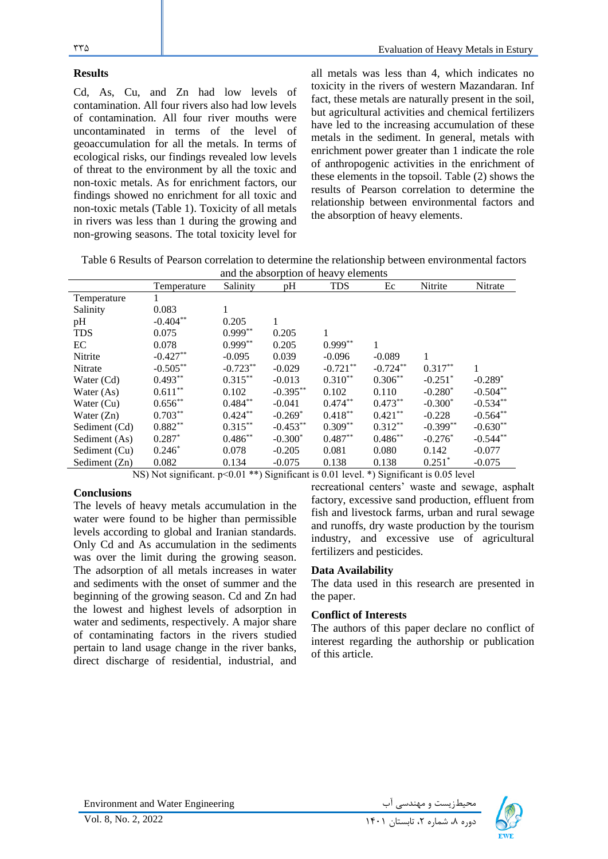### **Results**

Cd, As, Cu, and Zn had low levels of contamination. All four rivers also had low levels of contamination. All four river mouths were uncontaminated in terms of the level of geoaccumulation for all the metals. In terms of ecological risks, our findings revealed low levels of threat to the environment by all the toxic and non-toxic metals. As for enrichment factors, our findings showed no enrichment for all toxic and non-toxic metals (Table 1). Toxicity of all metals in rivers was less than 1 during the growing and non-growing seasons. The total toxicity level for

all metals was less than 4, which indicates no toxicity in the rivers of western Mazandaran. Inf fact, these metals are naturally present in the soil, but agricultural activities and chemical fertilizers have led to the increasing accumulation of these metals in the sediment. In general, metals with enrichment power greater than 1 indicate the role of anthropogenic activities in the enrichment of these elements in the topsoil. Table (2) shows the results of Pearson correlation to determine the relationship between environmental factors and the absorption of heavy elements.

Table 6 Results of Pearson correlation to determine the relationship between environmental factors and the absorption of heavy elements

|               | Temperature | Salinity   | pH          | <b>TDS</b> | Ec         | Nitrite               | Nitrate    |  |  |
|---------------|-------------|------------|-------------|------------|------------|-----------------------|------------|--|--|
| Temperature   | 1           |            |             |            |            |                       |            |  |  |
| Salinity      | 0.083       |            |             |            |            |                       |            |  |  |
| pH            | $-0.404***$ | 0.205      | 1           |            |            |                       |            |  |  |
| <b>TDS</b>    | 0.075       | $0.999**$  | 0.205       | 1          |            |                       |            |  |  |
| EC            | 0.078       | $0.999**$  | 0.205       | $0.999**$  |            |                       |            |  |  |
| Nitrite       | $-0.427**$  | $-0.095$   | 0.039       | $-0.096$   | $-0.089$   | 1                     |            |  |  |
| Nitrate       | $-0.505***$ | $-0.723**$ | $-0.029$    | $-0.721**$ | $-0.724**$ | $0.317**$             |            |  |  |
| Water (Cd)    | $0.493**$   | $0.315***$ | $-0.013$    | $0.310**$  | $0.306***$ | $-0.251$ <sup>*</sup> | $-0.289*$  |  |  |
| Water (As)    | $0.611**$   | 0.102      | $-0.395***$ | 0.102      | 0.110      | $-0.280*$             | $-0.504**$ |  |  |
| Water $(Cu)$  | $0.656**$   | $0.484***$ | $-0.041$    | $0.474***$ | $0.473**$  | $-0.300*$             | $-0.534**$ |  |  |
| Water $(Zn)$  | $0.703**$   | $0.424***$ | $-0.269*$   | $0.418***$ | $0.421***$ | $-0.228$              | $-0.564**$ |  |  |
| Sediment (Cd) | $0.882**$   | $0.315***$ | $-0.453**$  | $0.309**$  | $0.312***$ | $-0.399**$            | $-0.630**$ |  |  |
| Sediment (As) | $0.287*$    | $0.486**$  | $-0.300*$   | $0.487**$  | $0.486**$  | $-0.276*$             | $-0.544**$ |  |  |
| Sediment (Cu) | $0.246*$    | 0.078      | $-0.205$    | 0.081      | 0.080      | 0.142                 | $-0.077$   |  |  |
| Sediment (Zn) | 0.082       | 0.134      | $-0.075$    | 0.138      | 0.138      | $0.251$ *             | $-0.075$   |  |  |

NS) Not significant. p<0.01 \*\*) Significant is 0.01 level. \*) Significant is 0.05 level

### **Conclusions**

The levels of heavy metals accumulation in the water were found to be higher than permissible levels according to global and Iranian standards. Only Cd and As accumulation in the sediments was over the limit during the growing season. The adsorption of all metals increases in water and sediments with the onset of summer and the beginning of the growing season. Cd and Zn had the lowest and highest levels of adsorption in water and sediments, respectively. A major share of contaminating factors in the rivers studied pertain to land usage change in the river banks, direct discharge of residential, industrial, and

recreational centers' waste and sewage, asphalt factory, excessive sand production, effluent from fish and livestock farms, urban and rural sewage and runoffs, dry waste production by the tourism industry, and excessive use of agricultural fertilizers and pesticides.

### **Data Availability**

The data used in this research are presented in the paper.

### **Conflict of Interests**

The authors of this paper declare no conflict of interest regarding the authorship or publication of this article.

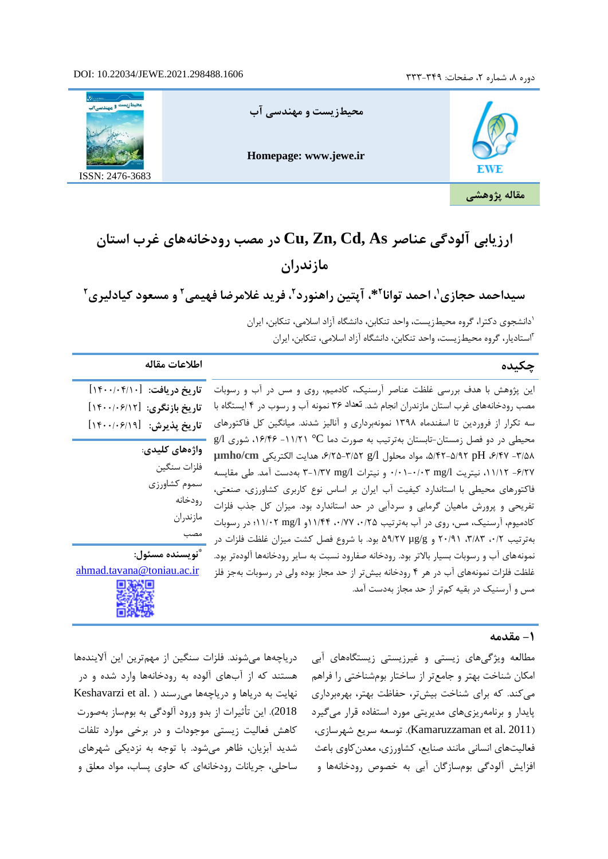### دوره ٨، شماره ٢، صفحات: ٣٣٩-٣٣٣

#### DOI: 10.22034/JEWE.2021.298488.1606



# **ارزیابی آلودگی عناصر As ,Cd ,Zn ,Cu در مصب رودخانههای غرب استان مازندران**

**1 سیداحمد حجازی 2 ، احمد توانا \*، آپتین راهنورد و مسعود کیادلیری <sup>2</sup> ، فرید غالمرضا فهیمی <sup>2</sup> 2**

1 دانشجوی دکترا، گروه محیطزیست، واحد تنکابن، دانشگاه آزاد اسالمی، تنکابن، ایران 2 استادیار، گروه محیط زیست، واحد تنکابن، دانشگاه آزاد اسالمی، تنکابن، ایران

### **چکیده اطالعات مقاله**

**تاریخ دریافت:** ]1400/04/10[ این پژوهش با هدف بررسی غلظت عناصر آرسنیک، کادمیم، روی و مس در آب و رسوبات مصب رودخانههای غرب استان مازندران انجام شد. تعداد 36 نمونه آب و رسوب در 4 ایستگاه با سه تکرار از فروردین تا اسفندماه 1398 نمونه بردار ی و آنالیز شدند. میانگین کل فاکتورهای محیطی در دو فصل زمستان-تابستان بهترتیب به صورت دما C° -11/21 ،16/46 شوری l/g **µmho/cm** الکتریکی هدایت ،6/25-3/52 g/l محلول مواد ،5/42-5/92 pH ،6/47 -3/58 -6/27 ،11/12 نیتریت l/mg 0/01-0/03 و نیترات l/mg 3-1/37 بهدست آمد. طی مقایسه فاکتورهای محیطی با استاندارد کیفیت آب ایران بر اساس نوع کاربری کشاورزی، صنعتی، تفریحی و پرورش ماهیان گرمابی و سردآبی در حد استاندارد بود. میزان کل جذب فلزات کادمیوم، آرسنیک، مس، روی در آب بهترتیب ،0/25 ،0/77 11/44و l/mg 11/02؛ در رسوبات بهترتیب ،0/2 ،3/83 20/91 و g/µg 59/27 بود. با شروع فصل کشت میزان غلظت فلزات در نمونههای آب و رسوبات بسیار باالتر بود. رودخانه صفارود نسبت به سایر رودخانهها آلودهتر بود. غلظت فلزات نمونههای آب در هر 4 رودخانه بیشتر از حد مجاز بوده ولی در رسوبات به جز فلز مس و آرسنیک در بقیه کمتر از حد مجاز بهدست آمد. مصب

# **تاریخ بازنگری:** ]1400/06/12[ **تاریخ پذیرش:** ]1400/06/19[

**واژه های کلیدی**: فلزات سنگین سموم کشاورزی رودخانه مازندران

**\* نویسنده مسئول:**  [ahmad.tavana@toniau.ac.ir](mailto:ahmad.tavana@toniau.ac.ir)

### **-1 مقدمه**

دریاچهها میشوند. فلزات سنگین از مهمترین این آالیندهها هستند که از آبهای آلوده به رودخانهها وارد شده و در Keshavarzi et al. ) نهایت به دریاها و دریاچهها می رسند 2018(. این تأثیرات از بدو ورود آلودگی به بومساز به صورت کاهش فعالیت زیستی موجودات و در برخی موارد تلفات شدید آبزیان، ظاهر میشود. با توجه به نزدیکی شهرهای ساحلی، جریانات رودخانهای که حاوی پساب، مواد معلق و

مطالعه ویژگیهای زیستی و غیرزیستی زیستگاههای آبی امکان شناخت بهتر و جامعتر از ساختار بومشناختی را فراهم میکند. که برای شناخت بیشتر، حفاظت بهتر، بهرهبرداری پایدار و برنامهریزیهای مدیریتی مورد استفاده قرار میگیرد )2011 .al et Kamaruzzaman). توسعه سریع شهرسازی، فعالیتهای انسانی مانند صنایع، کشاورزی، معدنکاوی باعث افزایش آلودگی بومسازگان آبی به خصوص رودخانهها و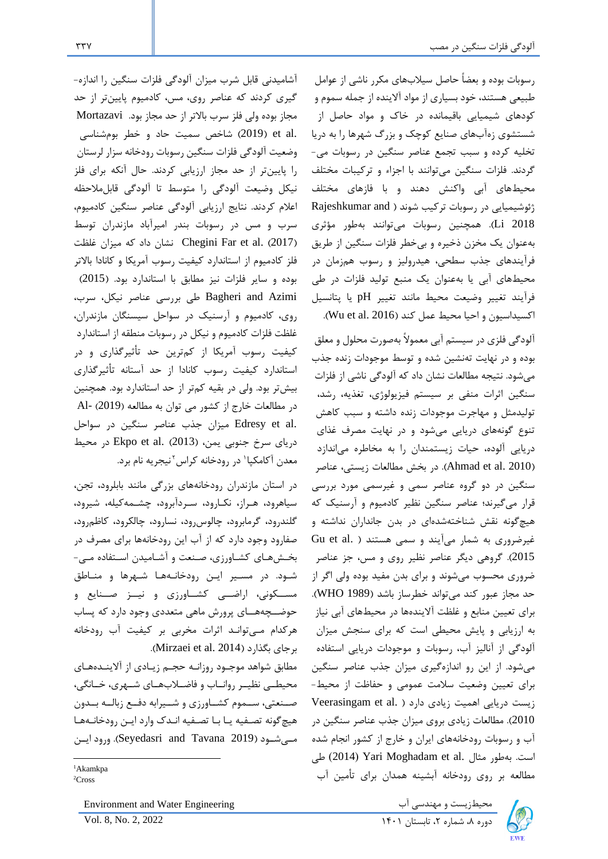رسوبات بوده و بعضاً حاصل سیالبهای مکرر ناشی از عوامل طبیعی هستند، خود بسیاری از مواد آالینده از جمله سموم و کودهای شیمیایی باقیمانده در خاك و مواد حاصل از شستشوی زهآبهای صنایع کوچک و بزرگ شهرها را به دریا تخلیه کرده و سبب تجمع عناصر سنگین در رسوبات می- گردند. فلزات سنگین میتوانند با اجزاء و ترکیبات مختلف محیطهای آبی واکنش دهند و با فازهای مختلف ژئوشیمیایی در رسوبات ترکیب شوند ( Rajeshkumar and 2018 Li). همچنین رسوبات میتوانند بهطور مؤثری بهعنوان یک مخزن ذخیره و بیخطر فلزات سنگین از طریق فرآیندهای جذب سطحی، هیدرولیز و رسوب همزمان در محیطهای آبی یا بهعنوان یک منبع تولید فلزات در طی فرآیند تغییر وضیعت محیط مانند تغییر pH یا پتانسیل اکسیداسیون و احیا محیط عمل کند (Wu et al. 2016).

آلودگی فلزی در سیستم آبی معموالً بهصورت محلول و معلق بوده و در نهایت تهنشین شده و توسط موجودات زنده جذب میشود. نتیجه مطالعات نشان داد که آلودگی ناشی از فلزات سنگین اثرات منفی بر سیستم فیزیولوژی، تغذیه، رشد، تولیدمثل و مهاجرت موجودات زنده داشته و سبب کاهش تنوع گونه های دریایی میشود و در نهایت مصرف غذای دریایی آلوده، حیات زیستمندان را به مخاطره میاندازد )2010 .al et Ahmad). در بخش مطالعات زیستی، عناصر سنگین در دو گروه عناصر سمی و غیرسمی مورد بررسی قرار میگیرند؛ عناصر سنگین نظیر کادمیوم و آرسنیک که هیچگونه نقش شناخته شدهای در بدن جانداران نداشته و غیرضروری به شمار میآیند و سمی هستند ( .Gu et al 2015(. گروهی دیگر عناصر نظیر روی و مس، جز عناصر ضروری محسوب میشوند و برای بدن مفید بوده ولی اگر از حد مجاز عبور کند میتواند خطرساز باشد )1989 WHO). برای تعیین منابع و غلظت آالیندهها در محیطهای آبی نیاز به ارزیابی و پایش محیطی است که برای سنجش میزان آلودگی از آنالیز آب، رسوبات و موجودات دریایی استفاده میشود. از این رو اندازهگیری میزان جذب عناصر سنگین برای تعیین وضعیت سالمت عمومی و حفاظت از محیط- زیست دریایی اهمیت زیادی دارد ( .Veerasingam et al 2010(. مطالعات زیادی بروی میزان جذب عناصر سنگین در آب و رسوبات رودخانههای ایران و خارج از کشور انجام شده است. بهطور مثال .Yari Moghadam et al (2014) طی مطالعه بر روی رودخانه آبشینه همدان برای تأمین آب



آشامیدنی قابل شرب میزان آلودگی فلزات سنگین را اندازه- گیری کردند که عناصر روی، مس، کادمیوم پایینتر از حد مجاز بوده ولی فلز سرب باالتر از حد مجاز بود. Mortazavi .al et( 2019 )شاخص سمیت حاد و خطر بومشناسی وضعیت آلودگی فلزات سنگین رسوبات رودخانه سزار لرستان را پایینتر از حد مجاز ارزیابی کردند. حال آنکه برای فلز نیکل وضیعت آلودگی را متوسط تا آلودگی قابلمالحظه اعالم کردند. نتایج ارزیابی آلودگی عناصر سنگین کادمیوم، سرب و مس در رسوبات بندر امیرآباد مازندران توسط )2017( .al et Far Chegini نشان داد که میزان غلظت فلز کادمیوم از استاندارد کیفیت رسوب آمریکا و کانادا باالتر بوده و سایر فلزات نیز مطابق با استاندارد بود. )2015( Azimi and Bagheri طی بررسی عناصر نیکل، سرب، روی، کادمیوم و آرسنیک در سواحل سیسنگان مازندران، غلظت فلزات کادمیوم و نیکل در رسوبات منطقه از استاندارد کیفیت رسوب آمریکا از کمترین حد تأثیرگذاری و در استاندارد کیفیت رسوب کانادا از حد آستانه تأثیرگذاری بیشتر بود. ولی در بقیه کمتر از حد استاندارد بود. همچنین در مطالعات خارج از کشور می توان به مطالعه )2019( -Al .Edresy et al میزان جذب عناصر سنگین در سواحل دریای سرخ جنوبی یمن، (2013) .Ekpo et al در محیط معدن أكامكپا در رودخانه كراس ٔ نيجريه نام برد.

در استان مازندران رودخانههای بزرگی مانند بابلرود، تجن، سیاهرود، هـراز، نکـارود، سـردآبرود، چشـمهکیله، شیرود، گلندرود، گرمابرود، چالوسرود، نسارود، چالکرود، کاظمرود، صفارود وجود دارد که از آب این رودخانهها برای مصرف در بخـشهـای کشـاورزی، صـنعت و آشـامیدن اسـتفاده مـی - شـود. در مسـیر ایـن رودخانـههـا شـهرها و منـاطق مســکونی، اراضــی کشــاورزی و نیــز صــنایع و حوضــچههــای پرورش ماهی متعددی وجود دارد که پساب هرکدام مـیتوانـد اثرات مخربی بر کیفیت آب رودخانه .(Mirzaei et al. 2014).

مطابق شواهد موجـود روزانـه حجـم زیـادی از آالینـدههـای محیطــی نظیــر روانــاب و فاضــالبهــای شــهری، خــانگی، صــنعتی، ســموم کشــاورزی و شــیرابه دفــع زبالــه بــدون هیچگونه تصـفیه یـا بـا تصـفیه انـدك وارد ایـن رودخانـههـا مــیشــود )2019 Tavana and Seyedasri). ورود ایــن

محیطزیست و مهندسی آب Engineering Water and Environment

<sup>1</sup>Akamkpa

<sup>2</sup>Cross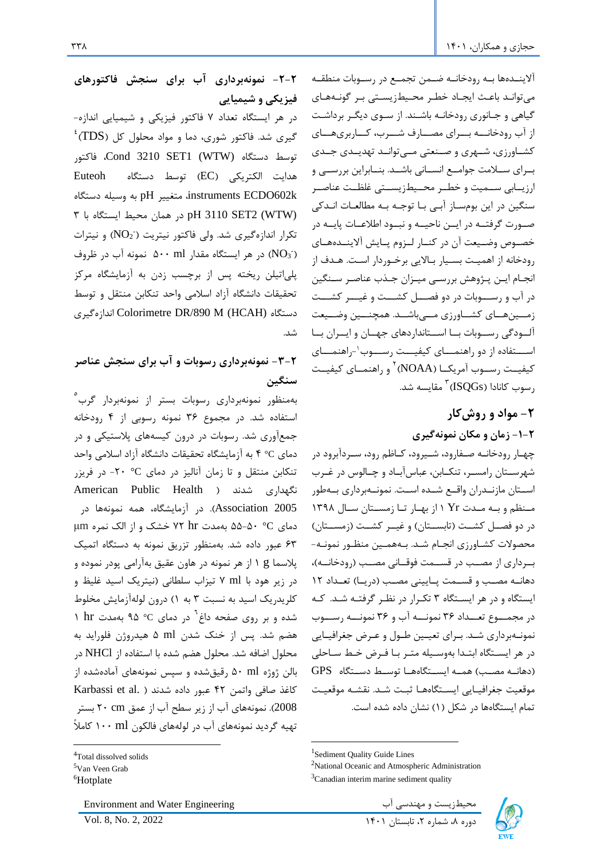آالینــدهها بــه رودخانــه ضــمن تجمــع در رســوبات منطقــه میتوانـد باعـث ایجـاد خطـر محـیطزیسـتی بـر گونـههـای گیاهی و جـانوری رودخانـه باشـند. از سـوی دیگـر برداشـت از آب رودخانـــه بـــرای مصـــارف شـــرب، کـــاربریهـــای کشــاورزی، شــهری و صــنعتی مــیتوانــد تهدیــدی جــدی بــرای ســالمت جوامــع انســانی باشــد. بنــابراین بررســی و ارزیــابی ســمیت و خطــر محــیطزیســتی غلظــت عناصــر سنگین در این بومسـاز آبـی بـا توجـه بـه مطالعـات انـدکی صــورت گرفتــه در ایــن ناحیــه و نبــود اطالعــات پایــه در خصــوص وضــیعت آن در کنــار لــزوم پــایش آالینــدههــای رودخانه از اهمیـت بسـیار بـاالیی برخـوردار اسـت. هـدف از انجـام ایـن پـژوهش بررسـی میـزان جـذب عناصـر سـنگین در آب و رســـوبات در دو فصـــل کشـــت و غیـــر کشـــت زمــینهــای کشــاورزی مــیباشــد. همچنــین وضــیعت آلــودگی رســوبات بــا اســتانداردهای جهــان و ایــران بــا ســـتفاده از دو راهنمـــای کیفیـــت رســـوب`-راهنمـــای کیفیــت رســوب آمریکــا (NOAA)<sup>۲</sup> و راهنمــای کیفیــت رسوب کانادا (ISQGs) مقایسه شد.

# **-2 مواد و روشکار -1-2 زمان و مکان نمونهگیری**

چهـاررودخانـه صـفارود، شـیرود، کـاظم رود، سـردآبرود در شهرسـتان رامسـر، تنکـابن، عباسآبـاد و چـالوس در غـرب اســتان مازنــدران واقــع شــده اســت. نمونــهبرداری بــهطور مــنظم و بــه مــدت Yr 1 از بهــار تــا زمســتان ســال 1398 در دو فصــل کشــت (تابســتان) و غیــر کشــت (زمســتان) محصوالت کشـاورزی انجـام شـد. بـههمـین منظـور نمونـه- بــرداری از مصــب در قســمت فوقــانی مصــب )رودخانــه(، دهانــه مصــب و قســمت پــایینی مصــب (دریــا) تعــداد ١٢ ایستگاه و در هر ایسـتگاه 3 تکـرار در نظـر گرفتـه شـد. کـه در مجمـــوع تعـــداد 36 نمونـــه آب و 36 نمونـــه رســـوب نمونـهبرداری شـد. بـرای تعیـین طـول و عـري جغرافیـایی در هر ایسـتگاه ابتـدا بهوسـیله متـر بـا فـري خـط سـاحلی )دهانــه مصــب( همــه ایســتگاههــا توســط دســتگاه GPS موقعیت جغرافیـایی ایسـتگاههـا ثبـت شـد. نقشـه موقعیـت تمام ایستگاهها در شکل )1( نشان داده شده است.

**-2-2 نمونهبرداری آب برای سنجش فاکتورهای فیزیکی و شیمیایی** 

در هر ایستگاه تعداد 7 فاکتور فیزیکی و شیمیایی اندازه-  $^{\rm i}$ (TDS) گیری شد. فاکتور شوری، دما و مواد محلول کل توسط دستگاه (WTW (1SET 3210 Cond، فاکتور هدایت الکتریکی )EC )توسط دستگاه Euteoh k602ECDO instruments، متغییر pH به وسیله دستگاه  $\uparrow$  (WTW) (2SET2 (WTW) در همان محیط ایستگاه با تکرار اندازهگیری شد. ولی فاکتور نیتریت (NO2) و نیترات در هر ایستگاه مقدار ۵۰۰ ml نمونه آب در ظروف ( $\rm{NO_3^-}$ پلیاتیلن ریخته پس از برچسب زدن به آزمایشگاه مرکز تحقیقات دانشگاه آزاد اسالمی واحد تنکابن منتقل و توسط اندازهگیری Colorimetre DR/890 M (HCAH) دستگاه شد.

# **-3-2 نمونهبرداری رسوبات و آب برای سنجش عناصر سنگین**

5 بهمنظور نمونه برداری رسوبات بستر از نمونهبردار گرب استفاده شد. در مجموع 36 نمونه رسوبی از 4 رودخانه جمع آوری شد. رسوبات در درون کیسههای پالستیکی و در دمای C° 4 به آزمایشگاه تحقیقات دانشگاه آزاد اسالمی واحد تنکابن منتقل و تا زمان آنالیز در دمای C° -20 در فریزر American Public Health ( شدند نگهداری 2005 Association). در آزمایشگاه، همه نمونهها در دمای C° 55-50 بهمدت hr 72 خشک و از الک نمره μm 63 عبور داده شد. به منظور تزریق نمونه به دستگاه اتمیک پالسما g 1 از هر نمونه در هاون عقیق بهآرامی پودر نموده و در زیر هود با ml 7 تیزاب سلطانی )نیتریک اسید غلیظ و کلریدریک اسید به نسبت 3 به 1( درون لولهآزمایش مخلوط 6 شده و بر روی صفحه داغ در دمای C° 95 بهمدت hr 1 هضم شد . پس از خنک شدن ml 5 هیدروژن فلوراید به محلول اضافه شد. محلول هضم شده با استفاده از NHCl در بالن ژوژه ml 50 رقیق شده و سپس نمونههای آمادهشده از کاغذ صافی واتمن 42 عبور داده شدند ) .al et Karbassi 2008(. نمونههای آب از زیر سطح آب از عمق cm 20 بستر تهیه گردید نمونههای آب در لولههای فالکون ml 100 کامالً

محیطزیست و مهندسی آب Engineering Water and Environment دوره ۸، شماره ۲، تابستان ۱۴۰۱ كنتر با ۱۴۰۰ كنتر تابستان استان استان استان استان استان استان استان استان استان<br>دوره ۸، شماره تابستان استان استان استان استان استان استان استان استان استان استان استان استان استان استان استا



<sup>&</sup>lt;sup>1</sup>Sediment Quality Guide Lines

<sup>&</sup>lt;sup>2</sup>National Oceanic and Atmospheric Administration  ${}^{3}$ Canadian interim marine sediment quality

<sup>4</sup>Total dissolved solids

<sup>5</sup>Van Veen Grab

<sup>&</sup>lt;sup>6</sup>Hotplate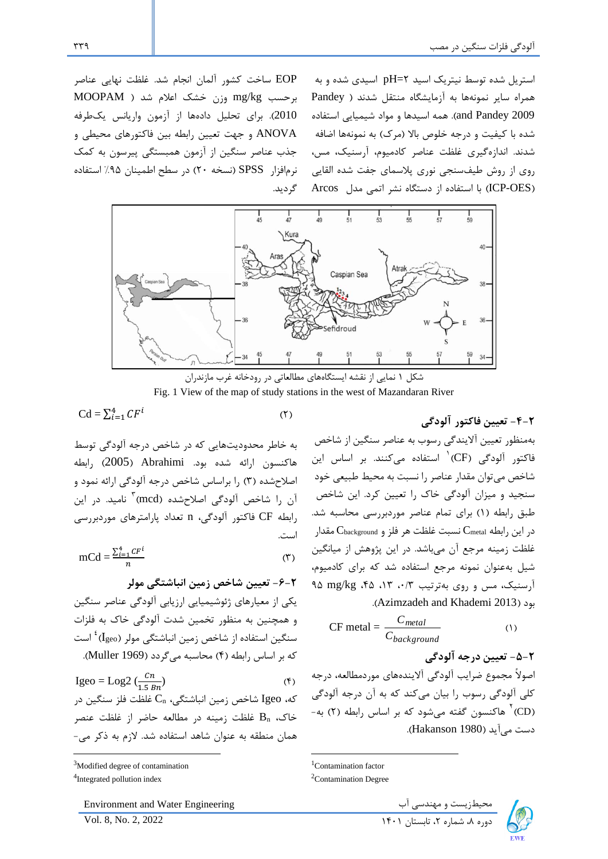استریل شده توسط نیتریک اسید 2=pH اسیدی شده و به همراه سایر نمونهها به آزمایشگاه منتقل شدند ) Pandey 2009 Pandey and). همه اسیدها و مواد شیمیایی استفاده شده با کیفیت و درجه خلوص بالا (مرک) به نمونهها اضافه شدند. اندازهگیری غلظت عناصر کادمیوم، آرسنیک، مس، روی از روش طیفسنجی نوری پالسمای جفت شده القایی )OES-ICP )با استفاده از دستگاه نشر اتمی مدل Arcos

EOP ساخت کشور آلمان انجام شد. غلظت نهایی عناصر برحسب kg/mg وزن خشک اعالم شد ) MOOPAM 2010(. برای تحلیل دادهها از آزمون واریانس یکطرفه ANOVA و جهت تعیین رابطه بین فاکتورهای محیطی و جذب عناصر سنگین از آزمون همبستگی پیرسون به کمک نرمافزار SPSS( نسخه 20( در سطح اطمینان %95 استفاده گردید.



شکل 1 نمایی از نقشه ایستگاههای مطالعاتی در رودخانه غرب مازندران Fig. 1 View of the map of study stations in the west of Mazandaran River

 $\text{Cd} = \sum_{i=1}^{4} CF^{i}$  (٢)

به خاطر محدودیتهایی که در شاخص درجه آلودگی توسط هاکنسون ارائه شده بود. Abrahimi( 2005 )رابط ه اصالح شده )3( را براساس شاخص درجه آلودگی ارائه نمود و آن را شاخص آلودگی اصلاحشده (mcd)<sup>۳</sup> نامید. در این رابطه CF فاکتور آلودگی، n تعداد پارامترهای موردبررسی است.

$$
mCd = \frac{\sum_{i=1}^{4} CF^{i}}{n}
$$
 (7)

**-6-2 تعیین شاخص زمین انباشتگی مولر** یکی از معیارهای ژئوشیمیایی ارزیابی آلودگی عناصر سنگین و همچنین به منظور تخمین شدت آلودگی خاك به فلزات 4 سنگین استفاده از شاخص زمین انباشتگی مولر )Igeo) است که بر اساس رابطه )4( محاسبه میگردد )1969 Muller).

 $=$  Log2  $\left(\frac{cn}{1.5\,Bn}\right)$  (f) Igeo = Log2  $\left(\frac{en}{1.5 Bn}\right)$ که، Igeo شاخص زمین انباشتگی، C<sup>n</sup> غلظت فلز سنگین در خاك، B<sup>n</sup> غلظت زمینه در مطالعه حاضر از غلظت عنصر همان منطقه به عنوان شاهد استفاده شد. الزم به ذکر می-

Environment and Water Engineering محیطزیست و مهندسی آب ۴۰۰ال Environment and Water Engineering<br>دوره ۸، شماره ۲، تابستان ۱۴۰۱

**-4-2 تعیین فاکتور آلودگی**  بهمنظور تعیین آالیندگی رسوب به عناصر سنگین از شاخص 1 فاکتور آلودگی )CF ) استفاده میکنند. بر اساس این شاخص میتوان مقدار عناصر را نسبت به محیط طبیعی خود سنجید و میزان آلودگی خاك را تعیین کرد. این شاخص طبق رابطه )1( برای تمام عناصر موردبررسی محاسبه شد.  $\rm C_{background}$  در این رابطه  $\rm C_{background}$  نسبت غلظت هر فلز و  $\rm C_{background}$  مقدار غلظت زمینه مرجع آن میباشد. در این پژوهش از میانگین شیل به عنوان نمونه مرجع استفاده شد که برای کادمیوم، آرسنیک، مس و روی بهترتیب ،0/3 ،13 ،45 kg/mg 95 .)Azimzadeh and Khademi 2013( بود

CF metal = 
$$
\frac{C_{metal}}{C_{background}}
$$
 (1)

**-5-2 تعیین درجه آلودگی** اصوالً مجموع ضرایب آلودگی آالیندههای موردمطالعه، درجه کلی آلودگی رسوب را بیان میکند که به آن درجه آلودگی (CD)<sup>۲</sup> هاکنسون گفته میشود که بر اساس رابطه (۲) به-دست میآید )1980 Hakanson).



<sup>&</sup>lt;sup>3</sup>Modified degree of contamination 4 Integrated pollution index

<sup>&</sup>lt;sup>1</sup>Contamination factor

<sup>2</sup>Contamination Degree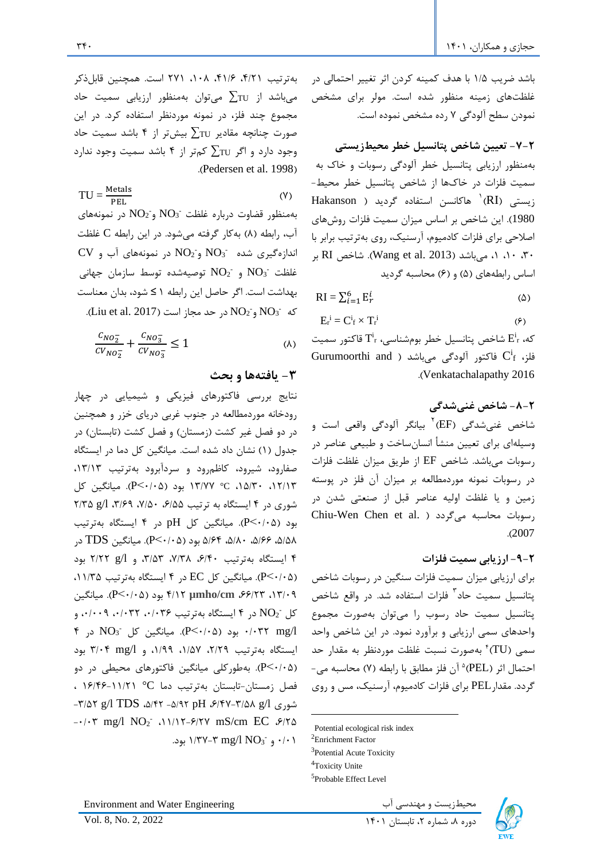بهترتیب ،4/21 ،41/6 ،108 271 است. همچنین قابلذکر میباشد از  $\Sigma_{\text{TU}}$  میتوان بهمنظور ارزیابی سمیت حاد مجموع چند فلز، در نمونه موردنظر استفاده کرد. در این صورت چنانچه مقادیر  $\sum_{\tau}$  بیش تر از ۴ باشد سمیت حاد وجود دارد و اگر TU ∑کمتر از 4 باشد سمیت وجود ندارد .(Pedersen et al. 1998).

 $(Y)$ Metals  $TU = \frac{m_{\text{ELA}}}{PEL}$ بهمنظور قضاوت درباره غلظت  $\overline{\rm NO_3}^{\scriptscriptstyle -}$  و $\overline{\rm NO_2}^{\scriptscriptstyle -}$  در نمونههای آب، رابطه (۸) بهکار گرفته میشود. در این رابطه C غلظت  $\rm{CV}$  شده  $\rm{NO_2}^{\text{-}}$  و $\rm{NO_2^{\text{-}}}$  در نمونههای آب و غلظت  $\overline{\rm NO}_{2}$ و  $\overline{\rm NO}_{2}$  توصیهشده توسط سازمان جهانی بهداشت است. اگر حاصل این رابطه 1 ≥ شود، بدان معناست  $\rm NO_2$  و NO $\rm O_2$  در حد مجاز است (Liu et al. 2017).

$$
\frac{c_{NO_2^-}}{c_{V_{NO_2^-}}} + \frac{c_{NO_3^-}}{c_{V_{NO_3^-}}} \le 1
$$
 (A)

### **-3 یافتهها و بحث**

نتایج بررسی فاکتورهای فیزیکی و شیمیایی در چهار رودخانه موردمطالعه در جنوب غربی دریای خزر و همچنین در دو فصل غیر کشت (زمستان) و فصل کشت (تابستان) در جدول )1( نشان داد شده است. میانگین کل دما در ایستگاه صفارود، شیرود، کاظمرود و سردآبرود بهترتیب ،13/13 ،12/13 ،15/30 C° /77 13 بود )0/05˂P). میانگین کل شوری در ۴ ایستگاه به ترتیب ۶/۵۵ ، ۷/۵۰ ، ۳/۶۹ ، ۲/۳۵ بود ( $P<\cdot$ ۰/۰). میانگین کل pH در ۴ ایستگاه بهترتیب ،5/5،  $\delta/8$ ، ۱۸۰ $\delta$ ، ۱۶۴ $\delta$ (۲۰/۰۵). میانگین TDS در 4 ایستگاه بهترتیب ،6/40 ،7/38 ،3/53 و l/g 2/22 بود )0/05˂P). میانگین کل EC در 4 ایستگاه بهترتیب ،11/35 میانگین .(P˂0/05( بود 4 /12 **µmho/cm** ،66/23 ،13/09  $\cdot$ کل  $\mathrm{NO_{2}^{-} }$  در ۴ ایستگاه بهترتیب ۰/۰۳۶ ،۰/۰۳۶ و ۴ بود (۲۰٬۰۵ $\log$ ). میانگین کل  $\log$  در ۴ $\log A$ ایستگاه بهترتیب ۲/۲۹، ۱/۵۷، ۱/۹۹ ، ۳/۰۴ بود )0/05˂P). بهطورکلی میانگین فاکتورهای محیطی در دو فصل زمستان-تابستان بهترتیب دما C° 16/46-11/21 ، -3/52 g/l TDS ،5/42 -5 /92 pH ،6/47-3/58 g/l شوری - $\cdot$ / $\cdot$ ۳ mg/l NO<sub>2</sub>  $\cdot$ 11/15- $\frac{\epsilon}{\sqrt{2}}$  mS/cm EC  $\frac{\epsilon}{\sqrt{2}}$ ۰/۰۱ و <sup>-1</sup>/07 MO<sub>3</sub> ۳–۱/۳۷ بود.

باشد ضریب 1/5 با هدف کمینه کردن اثر تغییر احتمالی در غلظتهای زمینه منظور شده است. مولر برای مشخص نمودن سطح آلودگی 7 رده مشخص نموده است.

**-7-2 تعیین شاخص پتانسیل خطر م حیطزیستی**  بهمنظور ارزیابی پتانسیل خطر آلودگی رسوبات و خاك به سمیت فلزات در خاكها از شاخص پتانسیل خطر محیط- زیستی (RI)<sup>۱</sup> هاکانسن استفاده گردید ( Hakanson 1980(. این شاخص بر اساس میزان سمیت فلزات روشهای اصالحی برای فلزات کادمیوم، آرسنیک، روی بهترتیب برابر با ، 1، 1، می باشد (Wang et al. 2013). شاخص RI بر RI اساس رابطههای (۵) و (۶) محاسبه گردید

$$
RI = \sum_{i=1}^{6} E_r^i
$$
 (2)

$$
E_r^i = C_f^i \times T_r^i \tag{9}
$$

که،  $\mathrm{E^{i}}_{\mathrm{r}}$  شاخص پتانسیل خطر بومشناسی،  $\mathrm{T^{i}}_{\mathrm{r}}$  قاکتور سمیت Gurumoorthi and ) فاکتور آلودگی میباشد ( Gurumoorthi and .)Venkatachalapathy 2016

**-8-2 شاخص غنیشدگی**  شاخص غنیشدگی (EF)<sup>۲</sup> بیانگر آلودگی واقعی است و وسیلهای برای تعیین منشأ انسانساخت و طبیعی عناصر در رسوبات میباشد. شاخص EF از طریق میزان غلظت فلزات در رسوبات نمونه موردمطالعه بر میزان آن فلز در پوسته زمین و یا غلظت اولیه عناصر قبل از صنعتی شدن در Chiu-Wen Chen et al. ( میگردد محاسبه رسوبات .)2007

**-9-2 ارزیابی سمیت فلزات** 

برای ارزیابی میزان سمیت فلزات سنگین در رسوبات شاخص 3 پتانسیل سمیت حاد فلزات استفاده شد. در واقع شاخص پتانسیل سمیت حاد رسوب را میتوان بهصورت مجموع واحدهای سمی ارزیابی و برآورد نمود. در این شاخص واحد 4 سمی )TU ) بهصورت نسبت غلظت موردنظر به مقدار حد حتمال اثر (PEL)<sup>ه</sup> آن فلز مطابق با رابطه (۷) محاسبه می-گردد. مقدارPEL برای فلزات کادمیوم، آرسنیک، مس و روی



Potential ecological risk index

<sup>&</sup>lt;sup>2</sup>Enrichment Factor

<sup>&</sup>lt;sup>3</sup>Potential Acute Toxicity

<sup>4</sup>Toxicity Unite

<sup>5</sup> Probable Effect Level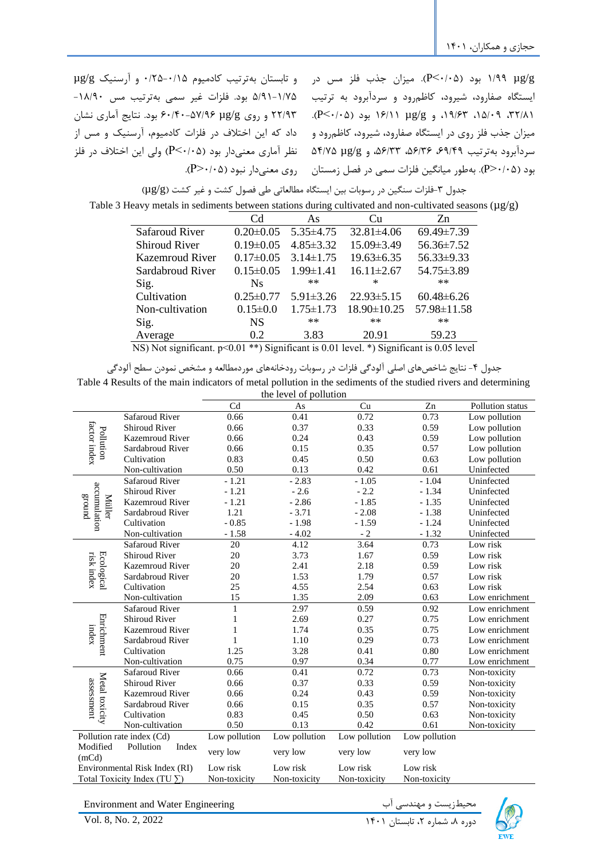| و تابستان بهترتيب كادميوم ٠/٢٥-١٢٥٠ و آرسنيك µg/g        | γg/g (P<٠/٠۵). میزان جذب فلز مس در                               |
|----------------------------------------------------------|------------------------------------------------------------------|
| ١/٧٥-٥/١٩١ بود. فلزات غير سمي بهترتيب مس ١٨/٩٠-          | ایستگاه صفارود، شیرود، کاظمرود و سردآبرود به ترتیب               |
| ۲۲/۹۳ و روی ۱۵۷/۹۶–۶۰/۴۰ بود. نتایج آماری نشان           | $(P<\cdot/\cdot \Delta)$ ۱۶/۱۱، ۳۲/۸۱، و ۱۶/۱۲ /۱۶/۱ بود (۰/۰۵). |
| داد که این اختلاف در فلزات کادمیوم، آرسنیک و مس از       | میزان جذب فلز روی در ایستگاه صفارود، شیرود، کاظمرود و            |
| نظر آماری معنیدار بود (P<۰/۰۵) ولی این اختلاف در فلز     | سردآبرود به ترتیب ۶۹/۴۹، ۵۶/۳۶، ۵۶/۳۳، ۵۴/۷۵ به ۵۴/۷۵            |
| $(P > \cdot / \cdot \Delta)$ روی معنی دار نبود (۳۶۰/۰۵). | بود (P>٠/٠۵). بهطور میانگین فلزات سمی در فصل زمستان              |

جدول ۳-فلزات سنگین در رسوبات بین ایستگاه مطالعاتی طی فصول کشت و غیر کشت (μg/g)

| Table 3 Heavy metals in sediments between stations during cultivated and non-cultivated seasons ( $\mu$ g/g) |  |  |  |  |  |  |  |  |  |  |  |  |  |
|--------------------------------------------------------------------------------------------------------------|--|--|--|--|--|--|--|--|--|--|--|--|--|
|--------------------------------------------------------------------------------------------------------------|--|--|--|--|--|--|--|--|--|--|--|--|--|

|                            | Cd              | As                                    | Cп                          | Zn                                  |
|----------------------------|-----------------|---------------------------------------|-----------------------------|-------------------------------------|
| <b>Safaroud River</b>      | $0.20 \pm 0.05$ | $5.35\pm4.75$                         | $32.81 \pm 4.06$            | 69.49±7.39                          |
| <b>Shiroud River</b>       | $0.19 \pm 0.05$ | $4.85 \pm 3.32$                       | 15.09 ± 3.49                | 56.36±7.52                          |
| <b>Kazemroud River</b>     | $0.17 \pm 0.05$ | $3.14 \pm 1.75$                       | $19.63 \pm 6.35$            | 56.33±9.33                          |
| Sardabroud River           | $0.15 \pm 0.05$ | $1.99 \pm 1.41$                       | $16.11 \pm 2.67$            | 54.75±3.89                          |
| Sig.                       | <b>Ns</b>       | $**$                                  | ×                           | $**$                                |
| Cultivation                | $0.25 \pm 0.77$ | $5.91 \pm 3.26$                       | $22.93 \pm 5.15$            | $60.48 \pm 6.26$                    |
| Non-cultivation            | $0.15 \pm 0.0$  | $1.75 \pm 1.73$                       | 18.90±10.25                 | 57.98±11.58                         |
| Sig.                       | <b>NS</b>       | $**$                                  | $**$                        | $**$                                |
| Average                    | 0.2             | 3.83                                  | 20.91                       | 59.23                               |
| $\cdot$ $\sim$<br>$\cdots$ |                 | $\cdots$ $\alpha$ $\alpha$ + $\cdots$ | $\sim$ $\sim$ $\sim$ $\sim$ | $\cdots$ $\wedge$ $\wedge$ $\cdots$ |

NS) Not significant. p˂0.01 \*\*) Significant is 0.01 level. \*) Significant is 0.05 level

جدول ۴- نتایج شاخصهای اصلی آلودگی فلزات در رسوبات رودخانههای موردمطالعه و مشخص نمودن سطح آلودگی

Table 4 Results of the main indicators of metal pollution in the sediments of the studied rivers and determining the level of pollution

|                                         |                                     |               | the level of pollution |                   |               |                  |
|-----------------------------------------|-------------------------------------|---------------|------------------------|-------------------|---------------|------------------|
|                                         |                                     | Cd            | As                     | Cu                | Zn            | Pollution status |
|                                         | Safaroud River                      | 0.66          | 0.41                   | 0.72              | 0.73          | Low pollution    |
| factor index                            | <b>Shiroud River</b>                | 0.66          | 0.37                   | 0.33              | 0.59          | Low pollution    |
| Pollution                               | <b>Kazemroud River</b>              | 0.66          | 0.24                   | 0.43              | 0.59          | Low pollution    |
|                                         | Sardabroud River                    | 0.66          | 0.15                   | 0.35              | 0.57          | Low pollution    |
|                                         | Cultivation                         | 0.83          | 0.45                   | 0.50              | 0.63          | Low pollution    |
|                                         | Non-cultivation                     | 0.50          | 0.13                   | 0.42              | 0.61          | Uninfected       |
|                                         | <b>Safaroud River</b>               | $-1.21$       | $-2.83$                | $-1.05$           | $-1.04$       | Uninfected       |
| accumulation                            | <b>Shiroud River</b>                | $-1.21$       | $-2.6$                 | $-2.2$            | $-1.34$       | Uninfected       |
| punois<br>Müller                        | <b>Kazemroud River</b>              | $-1.21$       | $-2.86$                | $-1.85$           | $-1.35$       | Uninfected       |
|                                         | Sardabroud River                    | 1.21          | $-3.71$                | $-2.08$           | $-1.38$       | Uninfected       |
|                                         | Cultivation                         | $-0.85$       | $-1.98$                | $-1.59$           | $-1.24$       | Uninfected       |
|                                         | Non-cultivation                     | $-1.58$       | $-4.02$                | $-2$              | $-1.32$       | Uninfected       |
|                                         | <b>Safaroud River</b>               | 20            | 4.12                   | $\overline{3.64}$ | 0.73          | Low risk         |
|                                         | <b>Shiroud River</b>                | 20            | 3.73                   | 1.67              | 0.59          | Low risk         |
|                                         | <b>Kazemroud River</b>              | 20            | 2.41                   | 2.18              | 0.59          | Low risk         |
| Ecological<br>risk index                | Sardabroud River                    | 20            | 1.53                   | 1.79              | 0.57          | Low risk         |
|                                         | Cultivation                         | 25            | 4.55                   | 2.54              | 0.63          | Low risk         |
|                                         | Non-cultivation                     | 15            | 1.35                   | 2.09              | 0.63          | Low enrichment   |
|                                         | <b>Safaroud River</b>               | $\mathbf{1}$  | 2.97                   | 0.59              | 0.92          | Low enrichment   |
| Enrichment                              | <b>Shiroud River</b>                | $\mathbf{1}$  | 2.69                   | 0.27              | 0.75          | Low enrichment   |
| index                                   | <b>Kazemroud River</b>              | 1             | 1.74                   | 0.35              | 0.75          | Low enrichment   |
|                                         | Sardabroud River                    | $\mathbf{1}$  | 1.10                   | 0.29              | 0.73          | Low enrichment   |
|                                         | Cultivation                         | 1.25          | 3.28                   | 0.41              | 0.80          | Low enrichment   |
|                                         | Non-cultivation                     | 0.75          | 0.97                   | 0.34              | 0.77          | Low enrichment   |
|                                         | <b>Safaroud River</b>               | 0.66          | 0.41                   | 0.72              | 0.73          | Non-toxicity     |
| Metal toxicity<br>assessment            | <b>Shiroud River</b>                | 0.66          | 0.37                   | 0.33              | 0.59          | Non-toxicity     |
|                                         | <b>Kazemroud River</b>              | 0.66          | 0.24                   | 0.43              | 0.59          | Non-toxicity     |
|                                         | Sardabroud River                    | 0.66          | 0.15                   | 0.35              | 0.57          | Non-toxicity     |
|                                         | Cultivation                         | 0.83          | 0.45                   | 0.50              | 0.63          | Non-toxicity     |
|                                         | Non-cultivation                     | 0.50          | 0.13                   | 0.42              | 0.61          | Non-toxicity     |
|                                         | Pollution rate index (Cd)           | Low pollution | Low pollution          | Low pollution     | Low pollution |                  |
| Modified<br>Pollution<br>Index<br>(mCd) |                                     | very low      | very low               | very low          | very low      |                  |
|                                         | Environmental Risk Index (RI)       | Low risk      | Low risk               | Low risk          | Low risk      |                  |
|                                         | Total Toxicity Index (TU $\Sigma$ ) | Non-toxicity  | Non-toxicity           | Non-toxicity      | Non-toxicity  |                  |
|                                         |                                     |               |                        |                   |               |                  |

Environment and Water Engineering محیطزیست و مهندسی آب Environment and Water Engineering<br>دوره ۸، شماره ۲، تابستان ۱۴۰۱

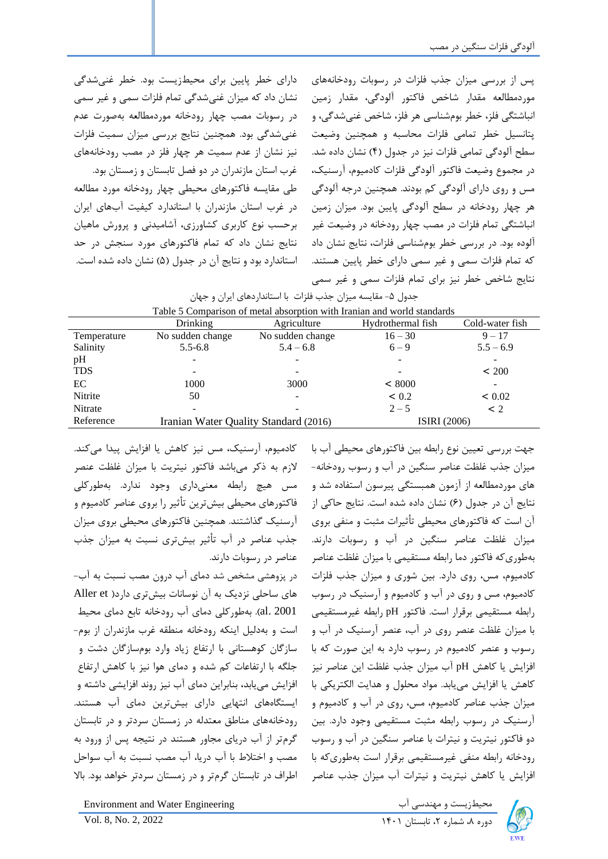پس از بررسی میزان جذب فلزات در رسوبات رودخانههای موردمطالعه مقدار شاخص فاکتور آلودگی، مقدار زمین انباشتگی فلز، خطر بومشناسی هر فلز، شاخص غنیشدگی، و پتانسیل خطر تمامی فلزات محاسبه و همچنین وضیعت سطح آلودگی تمامی فلزات نیز در جدول )4( نشان داده شد. در مجموع وضیعت فاکتور آلودگی فلزات کادمیوم، آرسنیک، مس و روی دارای آلودگی کم بودند. همچنین درجه آلودگی هر چهار رودخانه در سطح آلودگی پایین بود. میزان زمین انباشتگی تمام فلزات در مصب چهار رودخانه در وضیعت غیر آلوده بود. در بررسی خطر بومشناسی فلزات، نتایج نشان داد که تمام فلزات سمی و غیر سمی دارای خطر پایین هستند. نتایج شاخص خطر نیز برای تمام فلزات سمی و غیر سمی غرب استان مازندران در دو فصل تابستان و زمستان بود. طی مقایسه فاکتورهای محیطی چهار رودخانه مورد مطالعه در غرب استان مازندران با استاندارد کیفیت آبهای ایران برحسب نوع کاربری کشاورزی، آشامیدنی و پرورش ماهیان استاندارد بود و نتایج آن در جدول (۵) نشان داده شده است.

|             | Table 5 Comparison of metal absorption with Iranian and world standards |                                       |                              |                 |  |  |  |  |  |
|-------------|-------------------------------------------------------------------------|---------------------------------------|------------------------------|-----------------|--|--|--|--|--|
|             | <b>Drinking</b>                                                         | Agriculture                           | Hydrothermal fish            | Cold-water fish |  |  |  |  |  |
| Temperature | No sudden change                                                        | No sudden change                      | $16 - 30$                    | $9 - 17$        |  |  |  |  |  |
| Salinity    | $5.5 - 6.8$                                                             | $5.4 - 6.8$                           | $6 - 9$                      | $5.5 - 6.9$     |  |  |  |  |  |
| pH          |                                                                         |                                       | $\qquad \qquad \blacksquare$ |                 |  |  |  |  |  |
| <b>TDS</b>  |                                                                         |                                       | ۰                            | ~1200           |  |  |  |  |  |
| EC          | 1000                                                                    | 3000                                  | < 8000                       |                 |  |  |  |  |  |
| Nitrite     | 50                                                                      |                                       | < 0.2                        | < 0.02          |  |  |  |  |  |
| Nitrate     |                                                                         |                                       | $2 - 5$                      | $\leq 2$        |  |  |  |  |  |
| Reference   |                                                                         | Iranian Water Quality Standard (2016) | <b>ISIRI</b> (2006)          |                 |  |  |  |  |  |

|                      |  | جدول ۵- مقایسه میزان جذب فلزات با استانداردهای ایران و جهان |  |  |  |  |
|----------------------|--|-------------------------------------------------------------|--|--|--|--|
| $\sim$ $\sim$ $\sim$ |  |                                                             |  |  |  |  |

کادمیوم، آرسنیک، مس نیز کاهش یا افزایش پیدا میکند. الزم به ذکر میباشد فاکتور نیتریت با میزان غلظت عنصر مس هیچ رابطه معنیداری وجود ندارد. بهطورکلی فاکتورهای محیطی بیشترین تأثیر را بروی عناصر کادمیوم و آرسنیک گذاشتند. همچنین فاکتورهای محیطی بروی میزان جذب عناصر در آب تأثیر بیشتری نسبت به میزان جذب عناصر در رسوبات دارند.

دارای خطر پایین برای محیطزیست بود. خطر غنیشدگی نشان داد که میزان غنیشدگی تمام فلزات سمی و غیر سمی در رسوبات مصب چهار رودخانه موردمطالعه بهصورت عدم غنیشدگی بود. همچنین نتایج بررسی میزان سمیت فلزات نیز نشان از عدم سمیت هر چهار فلز در مصب رودخانههای

نتایج نشان داد که تمام فاکتورهای مورد سنجش در حد

در پزوهشی مشخص شد دمای آب درون مصب نسبت به آب- های ساحلی نزدیک به آن نوسانات بیشتری دارد) et Aller 2001 .al). بهطورکلی دمای آب رودخانه تابع دمای محیط است و بهدلیل اینکه رودخانه منطقه غرب مازندران از بوم- سازگان کوهستانی با ارتفاع زیاد وارد بومسازگان دشت و جلگه با ارتفاعات کم شده و دمای هوا نیز با کاهش ارتفاع افزایش مییابد، بنابراین دمای آب نیز روند افزایشی داشته و ایستگاههای انتهایی دارای بیشترین دمای آب هستند. رودخانههای مناطق معتدله در زمستان سردتر و در تابستان گرمتر از آب دریای مجاور هستند در نتیجه پس از ورود به مصب و اختالط با آب دریا، آب مصب نسبت به آب سواحل اطراف در تابستان گرمتر و در زمستان سردتر خواهد بود. باال

جهت بررسی تعیین نوع رابطه بین فاکتورهای محیطی آب با میزان جذب غلظت عناصر سنگین در آب و رسوب رودخانه- های موردمطالعه از آزمون همبستگی پیرسون استفاده شد و نتایج آن در جدول )6( نشان داده شده است. نتایج حاکی از آن است که فاکتورهای محیطی تأثیرات مثبت و منفی بروی میزان غلظت عناصر سنگین در آب و رسوبات دارند. بهطوری که فاکتور دما رابطه مستقیمی با میزان غلظت عناصر کادمیوم، مس، روی دارد. بین شوری و میزان جذب فلزات کادمیوم، مس و روی در آب و کادمیوم و آرسنیک در رسوب رابطه مستقیمی برقرار است. فاکتور pH رابطه غیرمستقیمی با میزان غلظت عنصر روی در آب، عنصر آرسنیک در آب و رسوب و عنصر کادمیوم در رسوب دارد به این صورت که با افزایش یا کاهش pH آب میزان جذب غلظت این عناصر نیز کاهش یا افزایش میی ابد. مواد محلول و هدایت الکتریکی با میزان جذب عناصر کادمیوم، مس، روی در آب و کادمیوم و آرسنیک در رسوب رابطه مثبت مستقیمی وجود دارد. بین دو فاکتور نیتریت و نیترات با عناصر سنگین در آب و رسوب رودخانه رابطه منفی غیرمستقیمی برقرار است بهطوری که با افزایش یا کاهش نیتریت و نیترات آب میزان جذب عناصر



دوره ۸، شماره ۲، تابستان ۱۴۰۱ 1xol. 8, No. 2, 2022

محیطزیست و مهندسی آب Engineering Water and Environment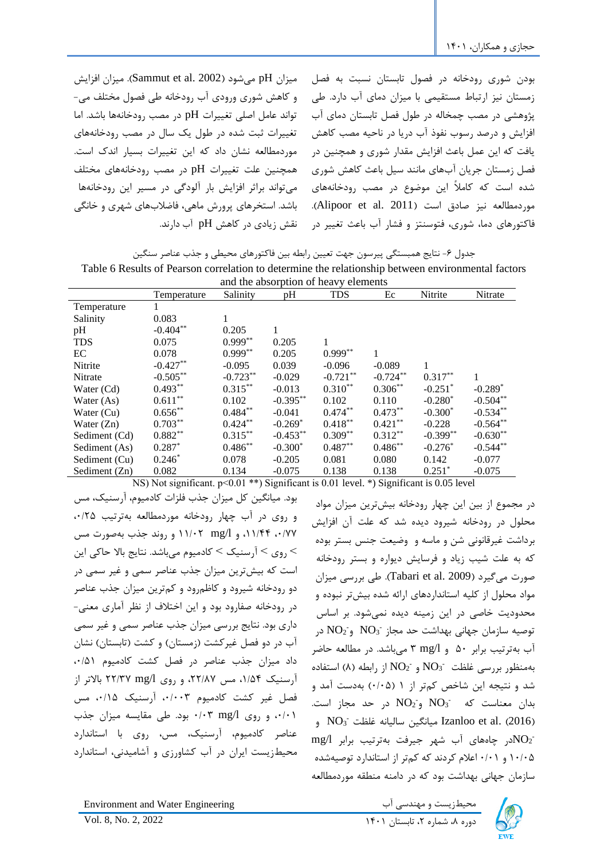میزان pH میشود (Sammut et al. 2002). میزان افزایش و کاهش شوری ورودی آب رودخانه طی فصول مختلف می- تواند عامل اصلی تغییرات pH در مصب رودخانهها باشد. اما تغییرات ثبت شده در طول یک سال در مصب رودخانههای موردمطالعه نشان داد که این تغییرات بسیار اندك است. همچنین علت تغییرات pH در مصب رودخانههای مختلف میتواند براثر افزایش بار آلودگی در مسی ر این رودخانهها باشد. استخرهای پرورش ماهی، فاضالبهای شهری و خانگی نقش زیادی در کاهش pH آب دارند.

بودن شوری رودخانه در فصول تابستان نسبت به فصل زمستان نیز ارتباط مستقیمی با میزان دمای آب دارد. طی پژوهشی در مصب چمخاله در طول فصل تابستان دمای آب افزایش و درصد رسوب نفوذ آب دریا در ناحیه مصب کاهش یافت که این عمل باعث افزایش مقدار شوری و همچنین در فصل زمستان جریان آبهای مانند سیل باعث کاهش شوری شده است که کامالً این موضوع در مصب رودخانههای موردمطالعه نیز صادق است (Alipoor et al. 2011). فاکتورهای دما، شوری، فتوسنتز و فشار آب باعث تغییر در

جدول ۶- نتایج همبستگی پیرسون جهت تعیین رابطه بین فاکتورهای محیطی و جذب عناصر سنگین Table 6 Results of Pearson correlation to determine the relationship between environmental factors

| and the absorption of heavy elements |             |            |             |            |            |                       |            |
|--------------------------------------|-------------|------------|-------------|------------|------------|-----------------------|------------|
|                                      | Temperature | Salinity   | pH          | <b>TDS</b> | Ec         | Nitrite               | Nitrate    |
| Temperature                          |             |            |             |            |            |                       |            |
| Salinity                             | 0.083       | 1          |             |            |            |                       |            |
| pH                                   | $-0.404**$  | 0.205      | 1           |            |            |                       |            |
| <b>TDS</b>                           | 0.075       | $0.999**$  | 0.205       |            |            |                       |            |
| EC                                   | 0.078       | $0.999**$  | 0.205       | $0.999**$  | 1          |                       |            |
| Nitrite                              | $-0.427**$  | $-0.095$   | 0.039       | $-0.096$   | $-0.089$   | 1                     |            |
| Nitrate                              | $-0.505***$ | $-0.723**$ | $-0.029$    | $-0.721**$ | $-0.724**$ | $0.317**$             |            |
| Water (Cd)                           | $0.493**$   | $0.315***$ | $-0.013$    | $0.310**$  | $0.306***$ | $-0.251$ <sup>*</sup> | $-0.289*$  |
| Water $(As)$                         | $0.611***$  | 0.102      | $-0.395***$ | 0.102      | 0.110      | $-0.280*$             | $-0.504**$ |
| Water (Cu)                           | $0.656**$   | $0.484***$ | $-0.041$    | $0.474**$  | $0.473**$  | $-0.300*$             | $-0.534**$ |
| Water $(Zn)$                         | $0.703***$  | $0.424***$ | $-0.269*$   | $0.418***$ | $0.421***$ | $-0.228$              | $-0.564**$ |
| Sediment (Cd)                        | $0.882**$   | $0.315***$ | $-0.453***$ | $0.309**$  | $0.312**$  | $-0.399**$            | $-0.630**$ |
| Sediment (As)                        | $0.287*$    | $0.486**$  | $-0.300*$   | $0.487**$  | $0.486**$  | $-0.276*$             | $-0.544**$ |
| Sediment (Cu)                        | $0.246*$    | 0.078      | $-0.205$    | 0.081      | 0.080      | 0.142                 | $-0.077$   |
| Sediment (Zn)                        | 0.082       | 0.134      | $-0.075$    | 0.138      | 0.138      | $0.251*$              | $-0.075$   |

NS) Not significant. p<0.01 \*\*) Significant is 0.01 level. \*) Significant is 0.05 level

بود. میانگین کل میزان جذب فلزات کادمیوم، آرسنیک، مس و روی در آب چهار رودخانه موردمطالعه بهترتیب ،0/25 ،0/77 ،11/44 و l/mg 11/02 و روند جذب بهصورت مس روی $\zeta > 0$ رسنیک $\zeta > 0$ ادمیوم می $\zeta$ اشد. نتایج بالا حاکی این  $<$ است که بیشترین میزان جذب عناصر سمی و غیر سمی در دو رودخانه شیرود و کاظمرود و کمترین میزان جذب عناصر در رودخانه صفارود بود و این اختالف از نظر آماری معنی- داری بود. نتایج بررسی میزان جذب عناصر سمی و غیر سمی آب در دو فصل غیر کشت (زمستان) و کشت (تابستان) نشان داد میزان جذب عناصر در فصل کشت کادمیوم ،0/51 آرسنیک ،1/54 مس ،22/87 و روی l/mg 22/37 باالتر از فصل غیر کشت کادمیوم ۰/۰۰۳، آرسنیک ۰/۱۵، مس ۰/۰۱ و روی ۰/۰۳ mg/l بود. طی مقایسه میزان جذب عناصر کادمیوم، آرسنیک، مس، روی با استاندارد محیطزیست ایران در آب کشاورزی و آشامیدنی، استاندارد

در مجموع از بین این چهار رودخانه بیشترین میزان مواد محلول در رودخانه شیرود دیده شد که علت آن افزایش برداشت غیرقانونی شن و ماسه و وضیعت جنس بستر بوده که به علت شیب زیاد و فرسایش دیواره و بستر رودخانه صورت میگیرد )2009 .al et Tabari). طی بررسی میزان مواد محلول از کلیه استانداردهای ارائه شده بیشتر نبوده و محدودیت خاصی در این زمینه دیده نمیشود. بر اساس نوصیه سازمان جهانی بهداشت حد مجاز  $\overline{\rm NO_3}^{\text{-}}$  و $\overline{\rm NO_2}^{\text{-}}$  در آب بهترتیب برابر 50 و l/mg 3 میباشد. در مطالعه حاضر بهمنظور بررسی غلظت  $\rm{NO_2^-}$  و  $\rm{NO_2^-}$  از رابطه (۸) استفاده شد و نتیجه این شاخص کم تر از 1 )0/05( بهدست آمد و  $\overline{NO_2}$  بدان معناست که  $\overline{NO_2}$  و $\overline{NO_2}$  در حد مجاز است. )2016( .al et Izanloo میانگین سالیانه غلظت - <sup>3</sup>NO و  $mg/1$  در چاههای آب شهر جیرفت بهترتیب برابر $\overline{NO_2^-}$ 10/05 و 0/01 اعالم کردند که کمتر از استاندارد توصیه شده سازمان جهانی بهداشت بود که در دامنه منطقه موردمطالعه

Environment and Water Engineering

دیست و مهندسی آب ۴۰۰ Environment and Water Engineering<br>دوره ۸، شماره ۲، تابستان ۱۴۰۱ استان ۱۴۰۱ ـ 2022 ـ Vol. 8, No. 2, 2022

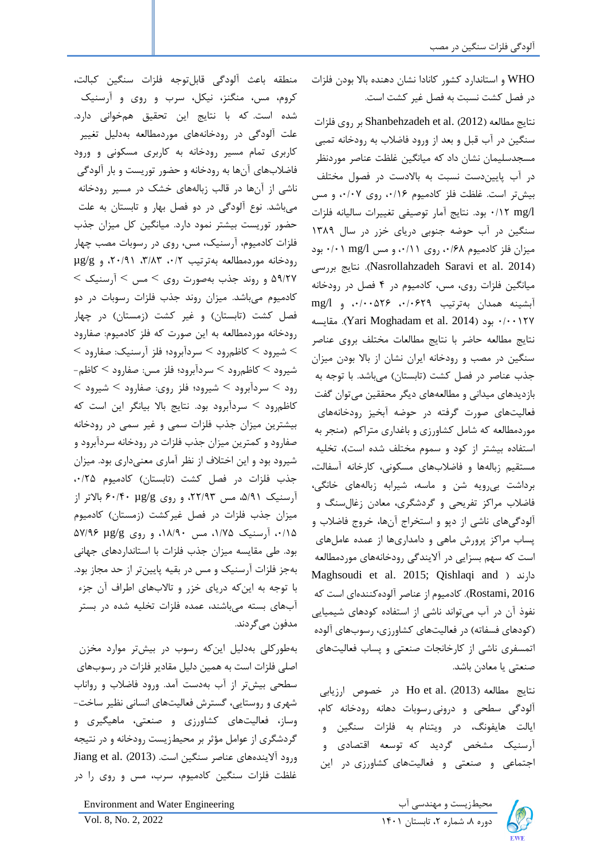WHO و استاندارد کشور کانادا نشان دهنده باال بودن فلزات در فصل کشت نسبت به فصل غیر کشت است.

نتایج مطالعه (2012) Shanbehzadeh et al. بر روی فلزات سنگین در آب قبل و بعد از ورود فاضالب به رودخانه تمبی مسجدسلیمان نشان داد که میانگین غلظت عناصر موردنظر در آب پاییندست نسبت به باالدست در فصول مختلف بیشتر است. غلظت فلز کادمیوم ،0/16 روی ،0/07 و مس l/mg 0/12 بود. نتایج آمار توصیفی تغییرات سالیانه فلزات سنگین در آب حوضه جنوبی دریای خزر در سال 1389 میزان فلز کادمیوم ،0/68 روی ،0/11 و مس l/mg 0/01 بود بررسی نتایج .(Nasrollahzadeh Saravi et al. 2014( میانگین فلزات روی، مس، کادمیوم در 4 فصل در رودخانه آبشینه همدان بهترتیب ،0/0629 ،0/00526 و l/mg مقایسه .(Yari Moghadam et al. 2014( بود 0/00127 نتایج مطالعه حاضر با نتایج مطالعات مختلف بروی عناصر سنگین در مصب و رودخانه ایران نشان از باال بودن میزان جذب عناصر در فصل کشت (تابستان) میباشد. با توجه به بازدیدهای میدانی و مطالعههای دیگر محققین میتوان گفت فعالیتهای صورت گرفته در حوضه آبخیز رودخانههای موردمطالعه که شامل کشاورزی و باغداری متراکم )منجر به استفاده بیشتر از کود و سموم مختلف شده است)، تخلیه مستقیم زبالهها و فاضالبهای مسکونی، کارخانه آسفالت، برداشت بیرویه شن و ماسه، شیرابه زبالههای خانگی، فاضالب مراکز تفریحی و گردشگری، معادن زغال سنگ و آلودگیهای ناشی از دپو و استخراج آن ها، خروج فاضالب و پساب مراکز پرورش ماهی و دامداریها از عمده عاملهای است که سهم بسزایی در آالیندگی رودخانههای موردمطالعه Maghsoudi et al. 2015; Qishlaqi and ( دارند 2016 ,Rostami). کادمیوم از عناصر آلوده کنندهای است که نفوذ آن در آب میتواند ناشی از استفاده کودهای شیمیایی )کودهای فسفاته( در فعالیتهای کشاورزی، رسوبهای آلوده اتمسفری ناشی از کارخانجات صنعتی و پساب فعالیتهای صنعتی یا معادن باشد.

نتایج مطالعه (2013) Ho et al. در خصوص ارزیابى آلودگى سطحى و درونى رسوبات دهانه رودخانه کام، ایالت هایفونگ، در ویتنام به فلزات سنگین و آرسنیک مشخص گردید که توسعه اقتصادى و اجتماعى و صنعتى و فعالیتهاى کشاورزى در این



دوره ۸، شماره ۲، تابستان ۱۴۰۱ ـ Vol. 8, No. 2, 2022

کروم، مس، منگنز، نیکل، سرب و روى و آرسنیک شده است. که با نتایج این تحقیق همخوانى دارد. علت آلودگی در رودخانههای موردمطالعه بهدلیل تغییر کاربری تمام مسیر رودخانه به کاربری مسکونی و ورود فاضالبهای آنها به رودخانه و حضور توریست و بار آلودگی ناشی از آنها در قالب زبالههای خشک در مسیر رودخانه میباشد. نوع آلودگی در دو فصل بهار و تابستان به علت حضور توریست بیشتر نمود دارد. میانگین کل میزان جذب فلزات کادمیوم، آرسنیک، مس، روی در رسوبات مصب چهار رودخانه موردمطالعه بهترتیب /2 ،0 ،3/83 ،20/91 و g/µg 59/27 و روند جذب به صورت روی ˂ مس ˂ آرسنیک ˂ کادمیوم میباشد. میزان روند جذب فلزات رسوبات در دو فصل کشت (تابستان) و غیر کشت (زمستان) در چهار رودخانه موردمطالعه به این صورت که فلز کادمیوم: صفارود  $<$  شیرود $\rm 3$  کاظهرود $\rm <$  سردآبرود؛ فلز آرسنیک: صفارود  $<$ شیرود ˂ کاظمرود ˂ سردآبرود؛ فلز مس: صفارود ˂ کاظم - رود ˂ سردآبرود ˂ شیرود؛ فلز روی: صفارود ˂ شیرود ˂ کاظمرود ˂ سردآبرود بود. نتایج باال بیانگر این است که بیشترین میزان جذب فلزات سمی و غیر سمی در رودخانه صفارود و کمترین میزان جذب فلزات در رودخانه سردآبرود و شیرود بود و این اختالف از نظر آماری معنیداری بود. میزان جذب فلزات در فصل کشت (تابستان) کادمیوم ۰/۲۵ آرسنیک ،5/91 مس ،22/93 و روی g/µg 60/40 باالتر از میزان جذب فلزات در فصل غیرکشت )زمستان( کادمیوم ،0/15 آرسنیک ،1/75 مس ،18/90 و روی g/µg 57/96 بود. طی مقایسه میزان جذب فلزات با استانداردهای جهانی بهجز فلزات آرسنیک و مس در بقیه پایینتر از حد مجاز بود. با توجه به این که دریای خزر و تاالبهای اطراف آن جزء آبهای بسته میباشند، عمده فلزات تخلیه شده در بستر مدفون میگردند.

منطقه باعث آلودگى قابلتوجه فلزات سنگین کبالت،

بهطورکلی بهدلیل این که رسوب در بیشتر موارد مخزن اصلی فلزات است به همین دلیل مقادیر فلزات در رسوبهای سطحی بیشتر از آب بهدست آمد. ورود فاضالب و رواناب شهری و روستایی، گسترش فعالیتهای انسانی نظیر ساخت- وساز، فعالیتهای کشاورزی و صنعتی، ماهیگیری و گردشگری از عوامل مؤثر بر محیطزیست رودخانه و در نتیجه ورود آلایندههای عناصر سنگین است. (2013) Jiang et al. (2013 غلظت فلزات سنگین کادمیوم، سرب، مس و روی را در

میندسی آب Environment and Water Engineering اب Environment and Water Engineering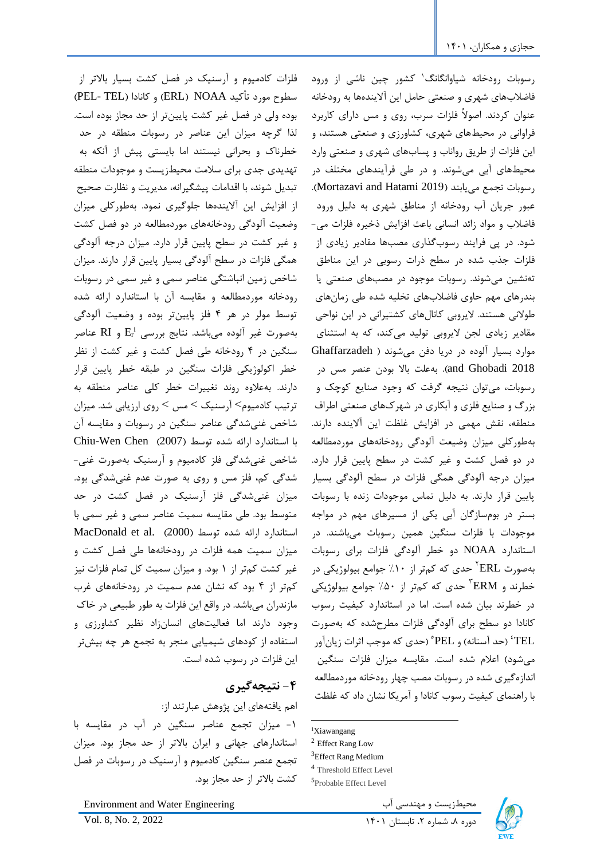فلزات کادمیوم و آرسنیک در فصل کشت بسیار باالتر از سطوح مورد تأکید NOAA) و کانادا (PEL- TEL) بوده ولی در فصل غیر کشت پایینتر از حد مجاز بوده است. لذا گرچه میزان این عناصر در رسوبات منطقه در حد خطرناك و بحرانی نیستند اما بایستی پیش از آنکه به تهدیدی جدی برای سالمت محیطزیست و موجودات منطقه تبدیل شوند، با اقدامات پیشگیرانه، مدیریت و نظارت صحیح از افزایش این آالیندهها جلوگیری نمود. به طورکلی میزان وضعیت آلودگی رودخانههای موردمطالعه در دو فصل کشت و غیر کشت در سطح پایین قرار دارد. میزان درجه آلودگی همگی فلزات در سطح آلودگی بسیار پایین قرار دارند. میزان شاخص زمین انباشتگی عناصر سمی و غیر سمی در رس وبات رودخانه موردمطالعه و مقایسه آن با استاندارد ارائه شده توسط مولر در هر 4 فلز پایینتر بوده و وضعیت آلودگی i بهصورت غیر آلوده میباشد. نتایج بررسی Er و RI عناصر سنگین در 4 رودخانه طی فصل کشت و غیر کشت از نظر خطر اکولوژیکی فلزات سنگین در طبقه خطر پایین قرار دارند. بهعالوه روند تغییرات خطر کلی عناصر منطقه به ترتیب کادمیوم> آرسنیک > مس > روی ارزیابی شد. میزان شاخص غنیشدگی عناصر سنگین در رسوبات و مقایسه آن با استاندارد ارائه شده توسط )2007( Chen Wen-Chiu شاخص غنیشدگی فلز کادمیوم و آرسنیک به صورت غنی- شدگی کم، فلز مس و روی به صورت عدم غنیشدگی بود. میزان غنیشدگی فلز آرسنیک در فصل کشت در حد متوسط بود. طی مقایسه سمیت عناصر سمی و غیر سمی با MacDonald et al. (2000) استاندارد ارائه شده توسط میزان سمیت همه فلزات در رودخانهها طی فصل کشت و غیر کشت کمتر از 1 بود. و میزان سمیت کل تمام فلزات نیز کمتر از 4 بود که نشان عدم سمیت در رودخانههای غرب مازندران می باشد. در واقع این فلزات به طور طبیعی در خاك وجود دارند اما فعالیتهای انسانزاد نظیر کشاورزی و استفاده از کودهای شیمیایی منجر به تجمع هر چه بیشتر این فلزات در رسوب شده است.

# **-4 نتیجه گیری**

اهم یافتههای این پژوهش عبارتند از: -1 میزان تجمع عناصر سنگین در آب در مقایسه با استاندارهای جهانی و ایران باالتر از حد مجاز بود. میزان تجمع عنصر سنگین کادمیوم و آرسنیک در رسوبات در فصل کشت باالتر از حد مجاز بود.

محیطزیست و مهندسی آب Engineering Water and Environment

1 رسوبات رودخانه شیاوانگانگ کشور چین ناشی از ورود فاضالبهای شهری و صنعتی حامل این آالیندهها به رودخانه عنوان کردند. اصوالً فلزات سرب، روی و مس دارای کاربرد فراوانی در محیطهای شهری، کشاورزی و صنعتی هستند، و این فلزات از طریق رواناب و پسابهای شهری و صنعتی وارد محیطهای آبی میشوند. و در طی فرآیندهای مختلف در رسوبات تجمع مییابند )2019 Hatami and Mortazavi). عبور جریان آب رودخانه از مناطق شهری به دلیل ورود فاضالب و مواد زائد انسانی باعث افزایش ذخیره فلزات می- شود. در پی فرایند رسوب گذاری مصبها مقادیر زیادی از فلزات جذب شده در سطح ذرات رسوبی در این مناطق تهنشین میشوند. رسوبات موجود در مصبهای صنعتی یا بندرهای مهم حاوی فاضالبهای تخلیه شده طی زمانهای طوالنی هستند. الیروبی کانال های کشتیرانی در این نواحی مقادیر زیادی لجن الیروبی تولید می کند، که به استثنای موارد بسیار آلوده در دریا دفن میشوند ) Ghaffarzadeh 2018 Ghobadi and). بهعلت باال بودن عنصر مس در رسوبات، میتوان نتیجه گرفت که وجود صنایع کوچک و بزرگ و صنایع فلزی و آبکاری در شهركهای صنعتی اطراف منطقه، نقش مهمی در افزایش غلظت این آالینده دارند. بهطورکلی میزان وضیعت آلودگی رودخانههای موردمطالعه در دو فصل کشت و غیر کشت در سطح پایین قرار دارد. میزان درجه آلودگی همگی فلزات در سطح آلودگی بسیار پایین قرار دارند. به دلیل تماس موجودات زنده با رسوبات بستر در بومسازگان آبی یکی از مسیرهای مهم در مواجه موجودات با فلزات سنگین همین رسوبات میباشند. در استاندارد NOAA دو خطر آلودگی فلزات برای رسوبات بهصورت ERL 2 حدی که کمتر از %10 جوامع بیولوژیکی در خطرند و ERM<sup>"</sup> حدی که کمتر از ۵۰٪ جوامع بیولوژیکی در خطرند بیان شده است. اما در استاندارد کیفیت رسوب کانادا دو سطح برای آلودگی فلزات مطرح شده که بهصورت )حد آستانه( و PEL <sup>4</sup> TEL 5 )حدی که موجب اثرات زیانآور میشود) اعلام شده است. مقایسه میزان فلزات سنگین اندازهگیری شده در رسوبات مصب چهار رودخانه موردمطالعه با راهنمای کیفیت رسوب کانادا و آمریکا نشان داد که غلظت



<sup>1</sup>Xiawangang

<sup>2</sup> Effect Rang Low

<sup>&</sup>lt;sup>3</sup>Effect Rang Medium

<sup>4</sup> Threshold Effect Level

<sup>5</sup> Probable Effect Level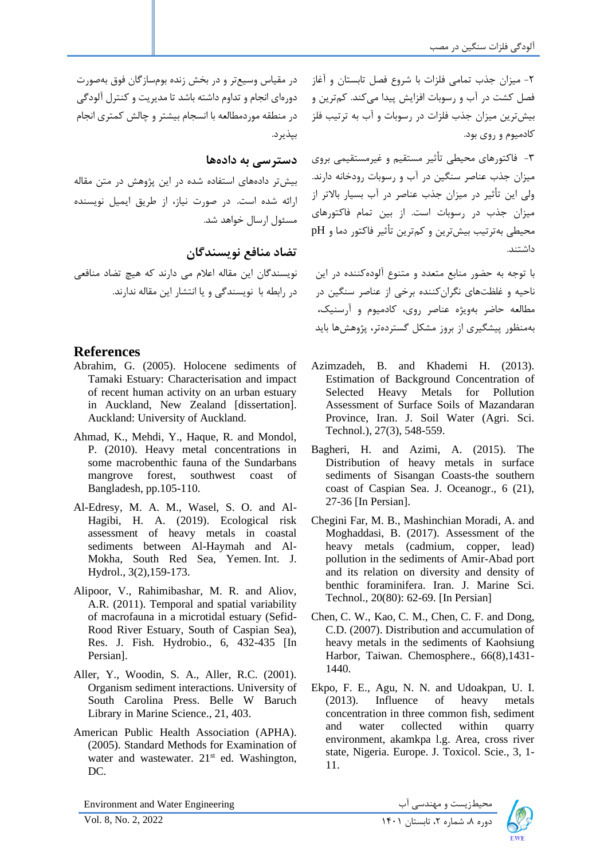-2 میزان جذب تمامی فلزات با شروع فصل تابستان و آغاز فصل کشت در آب و رسوبات افزایش پیدا میکند. کمترین و بیشترین میزان جذب فلزات در رسوبات و آب به ترتیب فلز کادمیوم و روی بود.

-3 فاکتورهای محیطی تأثیر مستقیم و غیرمستقیمی بروی میزان جذب عناصر سنگین در آب و رسوبات رودخانه دارند. ولی این تأثیر در میزان جذب عناصر در آب بسیار باالتر از میزان جذب در رسوبات است. از بین تمام فاکتورهای محیطی بهترتیب بیشترین و کمترین تأثیر فاکتور دما و pH داشتند.

با توجه به حضور منابع متعدد و متنوع آلودهکننده در این ناحیه و غلظتهای نگران کننده برخی از عناصر سنگین در مطالعه حاضر بهویژه عناصر روی، کادمیوم و آرسنیک، بهمنظور پیشگیری از بروز مشکل گستردهتر، پژوهش ها باید

- Azimzadeh, B. and Khademi H. (2013). Estimation of Background Concentration of Selected Heavy Metals for Pollution Assessment of Surface Soils of Mazandaran Province, Iran. J. Soil Water (Agri. Sci. Technol.), 27(3), 548-559.
- Bagheri, H. and Azimi, A. (2015). The Distribution of heavy metals in surface sediments of Sisangan Coasts-the southern coast of Caspian Sea. J. Oceanogr., 6 (21), 27-36 [In Persian].
- Chegini Far, M. B., Mashinchian Moradi, A. and Moghaddasi, B. (2017). Assessment of the heavy metals (cadmium, copper, lead) pollution in the sediments of Amir-Abad port and its relation on diversity and density of benthic foraminifera. Iran. J. Marine Sci. Technol., 20(80): 62-69. [In Persian]
- Chen, C. W., Kao, C. M., Chen, C. F. and Dong, C.D. (2007). Distribution and accumulation of heavy metals in the sediments of Kaohsiung Harbor, Taiwan. Chemosphere., 66(8),1431- 1440.
- Ekpo, F. E., Agu, N. N. and Udoakpan, U. I. (2013). Influence of heavy metals concentration in three common fish, sediment and water collected within quarry environment, akamkpa l.g. Area, cross river state, Nigeria. Europe. J. Toxicol. Scie., 3, 1- 11.

در مقیاس وسیع تر و در بخش زنده بومسازگان فوق بهصورت دورهای انجام و تداوم داشته باشد تا مدیریت و کنترل آلودگی در منطقه موردمطالعه با انسجام بیشتر و چالش کمتری انجام بپذیرد.

### **دسترسی به داده ها**

بیشتر دادههای استفاده شده در این پژوهش در متن مقاله ارائه شده است. در صورت نیاز، از طریق ایمیل نویسنده مسئول ارسال خواهد شد.

**تضاد منافع نویسندگان** 

نویسندگان این مقاله اعالم می دارند که هیچ تضاد منافعی در رابطه با نویسندگی و یا انتشار این مقاله ندارند .

## **References**

- Abrahim, G. (2005). Holocene sediments of Tamaki Estuary: Characterisation and impact of recent human activity on an urban estuary in Auckland, New Zealand [dissertation]. Auckland: University of Auckland.
- Ahmad, K., Mehdi, Y., Haque, R. and Mondol, P. (2010). Heavy metal concentrations in some macrobenthic fauna of the Sundarbans mangrove forest, southwest coast of Bangladesh, pp.105-110.
- Al-Edresy, M. A. M., Wasel, S. O. and Al-Hagibi, H. A. (2019). Ecological risk assessment of heavy metals in coastal sediments between Al-Haymah and Al-Mokha, South Red Sea, Yemen. Int. J. Hydrol., 3(2),159-173.
- Alipoor, V., Rahimibashar, M. R. and Aliov, A.R. (2011). Temporal and spatial variability of macrofauna in a microtidal estuary (Sefid-Rood River Estuary, South of Caspian Sea), Res. J. Fish. Hydrobio., 6, 432-435 [In Persian].
- Aller, Y., Woodin, S. A., Aller, R.C. (2001). Organism sediment interactions. University of South Carolina Press. Belle W Baruch Library in Marine Science., 21, 403.
- American Public Health Association (APHA). (2005). Standard Methods for Examination of water and wastewater. 21<sup>st</sup> ed. Washington, DC.

Environment and Water Engineering

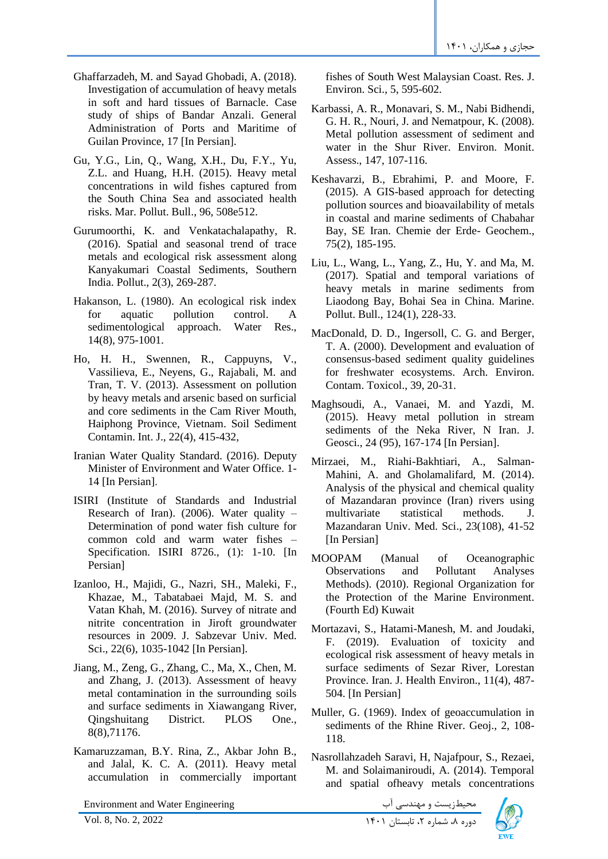- Ghaffarzadeh, M. and Sayad Ghobadi, A. (2018). Investigation of accumulation of heavy metals in soft and hard tissues of Barnacle. Case study of ships of Bandar Anzali. General Administration of Ports and Maritime of Guilan Province, 17 [In Persian].
- Gu, Y.G., Lin, Q., Wang, X.H., Du, F.Y., Yu, Z.L. and Huang, H.H. (2015). Heavy metal concentrations in wild fishes captured from the South China Sea and associated health risks. Mar. Pollut. Bull., 96, 508e512.
- Gurumoorthi, K. and Venkatachalapathy, R. (2016). Spatial and seasonal trend of trace metals and ecological risk assessment along Kanyakumari Coastal Sediments, Southern India. Pollut., 2(3), 269-287.
- Hakanson, L. (1980). An ecological risk index for aquatic pollution control. A sedimentological approach. Water Res., 14(8), 975-1001.
- Ho, H. H., Swennen, R., Cappuyns, V., Vassilieva, E., Neyens, G., Rajabali, M. and Tran, T. V. (2013). Assessment on pollution by heavy metals and arsenic based on surficial and core sediments in the Cam River Mouth, Haiphong Province, Vietnam. Soil Sediment Contamin. Int. J., 22(4), 415-432,
- Iranian Water Quality Standard. (2016). Deputy Minister of Environment and Water Office. 1- 14 [In Persian] .
- ISIRI (Institute of Standards and Industrial Research of Iran). (2006). Water quality  $-$ Determination of pond water fish culture for common cold and warm water fishes – Specification. ISIRI 8726., (1): 1-10. [In Persian]
- Izanloo, H., Majidi, G., Nazri, SH., Maleki, F., Khazae, M., Tabatabaei Majd, M. S. and Vatan Khah, M. (2016). Survey of nitrate and nitrite concentration in Jiroft groundwater resources in 2009. J. Sabzevar Univ. Med. Sci., 22(6), 1035-1042 [In Persian].
- Jiang, M., Zeng, G., Zhang, C., Ma, X., Chen, M. and Zhang, J. (2013). Assessment of heavy metal contamination in the surrounding soils and surface sediments in Xiawangang River, Qingshuitang District. PLOS One., 8(8),71176.
- Kamaruzzaman, B.Y. Rina, Z., Akbar John B., and Jalal, K. C. A. (2011). Heavy metal accumulation in commercially important

Environment and Water Engineering دوره ،8 شماره ،2 تابستان 1401 2022 2, .No 8, .Vol

fishes of South West Malaysian Coast. Res. J. Environ. Sci., 5, 595-602.

- Karbassi, A. R., Monavari, S. M., Nabi Bidhendi, G. H. R., Nouri, J. and Nematpour, K. (2008). Metal pollution assessment of sediment and water in the Shur River. Environ. Monit. Assess., 147, 107-116.
- Keshavarzi, B., Ebrahimi, P. and Moore, F. (2015). A GIS-based approach for detecting pollution sources and bioavailability of metals in coastal and marine sediments of Chabahar Bay, SE Iran. Chemie der Erde- Geochem., 75(2), 185-195.
- Liu, L., Wang, L., Yang, Z., Hu, Y. and Ma, M. (2017). Spatial and temporal variations of heavy metals in marine sediments from Liaodong Bay, Bohai Sea in China. Marine. Pollut. Bull., 124(1), 228-33.
- MacDonald, D. D., Ingersoll, C. G. and Berger, T. A. (2000). Development and evaluation of consensus-based sediment quality guidelines for freshwater ecosystems. Arch. Environ. Contam. Toxicol., 39, 20-31.
- Maghsoudi, A., Vanaei, M. and Yazdi, M. (2015). Heavy metal pollution in stream sediments of the Neka River, N Iran. J. Geosci., 24 (95), 167-174 [In Persian].
- Mirzaei, M., Riahi-Bakhtiari, A., Salman-Mahini, A. and Gholamalifard, M. (2014). Analysis of the physical and chemical quality of Mazandaran province (Iran) rivers using multivariate statistical methods. J. Mazandaran Univ. Med. Sci., 23(108), 41-52 [In Persian]
- MOOPAM (Manual of Oceanographic Observations and Pollutant Analyses Methods). (2010). Regional Organization for the Protection of the Marine Environment. (Fourth Ed) Kuwait
- Mortazavi, S., Hatami-Manesh, M. and Joudaki, F. (2019). Evaluation of toxicity and ecological risk assessment of heavy metals in surface sediments of Sezar River, Lorestan Province. Iran. J. Health Environ., 11(4), 487- 504. [In Persian]
- Muller, G. (1969). Index of geoaccumulation in sediments of the Rhine River. Geoj., 2, 108- 118.
- Nasrollahzadeh Saravi, H, Najafpour, S., Rezaei, M. and Solaimaniroudi, A. (2014). Temporal and spatial ofheavy metals concentrations